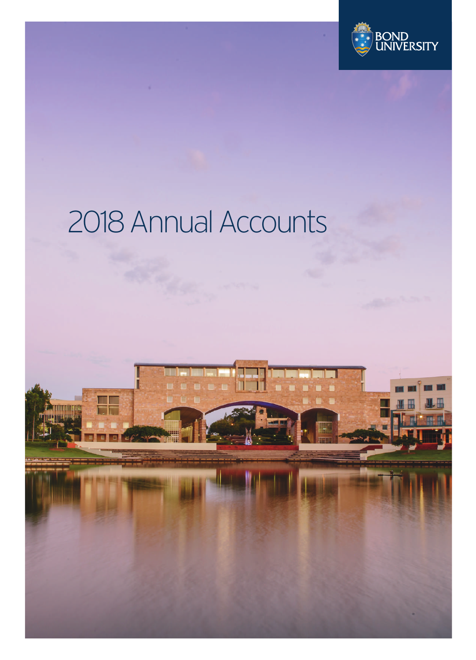

### 2018 Annual Accounts

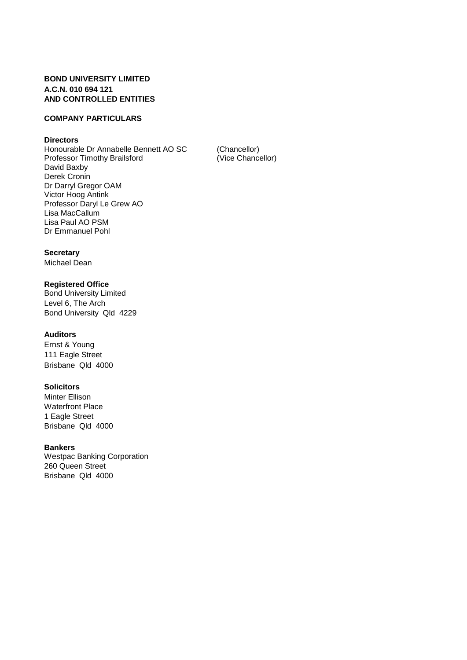### **BOND UNIVERSITY LIMITED A.C.N. 010 694 121 AND CONTROLLED ENTITIES**

### **COMPANY PARTICULARS**

### **Directors**

Honourable Dr Annabelle Bennett AO SC (Chancellor)<br>
Professor Timothy Brailsford (Vice Chancellor) Professor Timothy Brailsford David Baxby Derek Cronin Dr Darryl Gregor OAM Victor Hoog Antink Professor Daryl Le Grew AO Lisa MacCallum Lisa Paul AO PSM Dr Emmanuel Pohl

### **Secretary**

Michael Dean

### **Registered Office**

Bond University Limited Level 6, The Arch Bond University Qld 4229

### **Auditors**

Ernst & Young 111 Eagle Street Brisbane Qld 4000

### **Solicitors**

Minter Ellison Waterfront Place 1 Eagle Street Brisbane Qld 4000

### **Bankers**

Westpac Banking Corporation 260 Queen Street Brisbane Qld 4000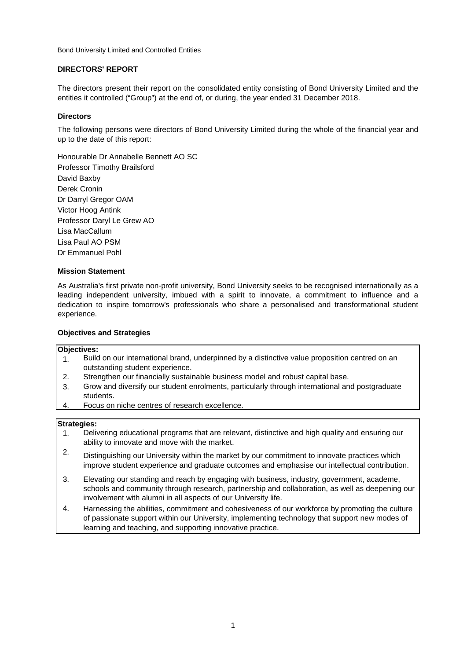### **DIRECTORS' REPORT**

The directors present their report on the consolidated entity consisting of Bond University Limited and the entities it controlled ("Group") at the end of, or during, the year ended 31 December 2018.

### **Directors**

The following persons were directors of Bond University Limited during the whole of the financial year and up to the date of this report:

Honourable Dr Annabelle Bennett AO SC Professor Timothy Brailsford David Baxby Derek Cronin Dr Darryl Gregor OAM Victor Hoog Antink Professor Daryl Le Grew AO Lisa MacCallum Lisa Paul AO PSM Dr Emmanuel Pohl

### **Mission Statement**

As Australia's first private non-profit university, Bond University seeks to be recognised internationally as a leading independent university, imbued with a spirit to innovate, a commitment to influence and a dedication to inspire tomorrow's professionals who share a personalised and transformational student experience.

### **Objectives and Strategies**

### **Objectives:**

- 1. Build on our international brand, underpinned by a distinctive value proposition centred on an outstanding student experience.
- 2. Strengthen our financially sustainable business model and robust capital base.
- 3. Grow and diversify our student enrolments, particularly through international and postgraduate students.
- 4. Focus on niche centres of research excellence.

### **Strategies:**

- 1. Delivering educational programs that are relevant, distinctive and high quality and ensuring our ability to innovate and move with the market.
- 2. Distinguishing our University within the market by our commitment to innovate practices which improve student experience and graduate outcomes and emphasise our intellectual contribution.
- 3. Elevating our standing and reach by engaging with business, industry, government, academe, schools and community through research, partnership and collaboration, as well as deepening our involvement with alumni in all aspects of our University life.
- 4. Harnessing the abilities, commitment and cohesiveness of our workforce by promoting the culture of passionate support within our University, implementing technology that support new modes of learning and teaching, and supporting innovative practice.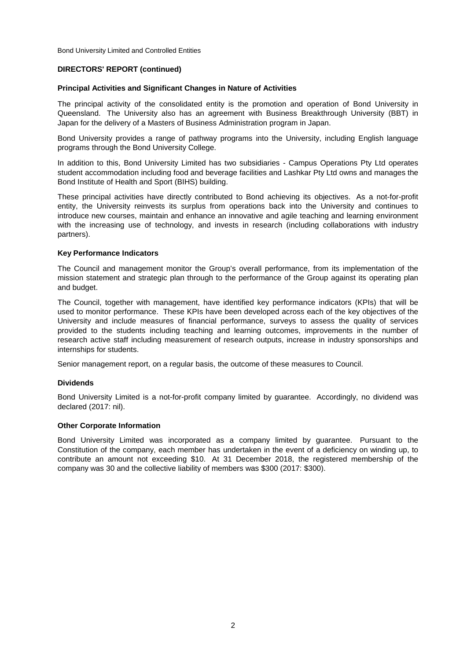### **DIRECTORS' REPORT (continued)**

### **Principal Activities and Significant Changes in Nature of Activities**

The principal activity of the consolidated entity is the promotion and operation of Bond University in Queensland. The University also has an agreement with Business Breakthrough University (BBT) in Japan for the delivery of a Masters of Business Administration program in Japan.

Bond University provides a range of pathway programs into the University, including English language programs through the Bond University College.

In addition to this, Bond University Limited has two subsidiaries - Campus Operations Pty Ltd operates student accommodation including food and beverage facilities and Lashkar Pty Ltd owns and manages the Bond Institute of Health and Sport (BIHS) building.

These principal activities have directly contributed to Bond achieving its objectives. As a not-for-profit entity, the University reinvests its surplus from operations back into the University and continues to introduce new courses, maintain and enhance an innovative and agile teaching and learning environment with the increasing use of technology, and invests in research (including collaborations with industry partners).

### **Key Performance Indicators**

The Council and management monitor the Group's overall performance, from its implementation of the mission statement and strategic plan through to the performance of the Group against its operating plan and budget.

The Council, together with management, have identified key performance indicators (KPIs) that will be used to monitor performance. These KPIs have been developed across each of the key objectives of the University and include measures of financial performance, surveys to assess the quality of services provided to the students including teaching and learning outcomes, improvements in the number of research active staff including measurement of research outputs, increase in industry sponsorships and internships for students.

Senior management report, on a regular basis, the outcome of these measures to Council.

### **Dividends**

Bond University Limited is a not-for-profit company limited by guarantee. Accordingly, no dividend was declared (2017: nil).

### **Other Corporate Information**

Bond University Limited was incorporated as a company limited by guarantee. Pursuant to the Constitution of the company, each member has undertaken in the event of a deficiency on winding up, to contribute an amount not exceeding \$10. At 31 December 2018, the registered membership of the company was 30 and the collective liability of members was \$300 (2017: \$300).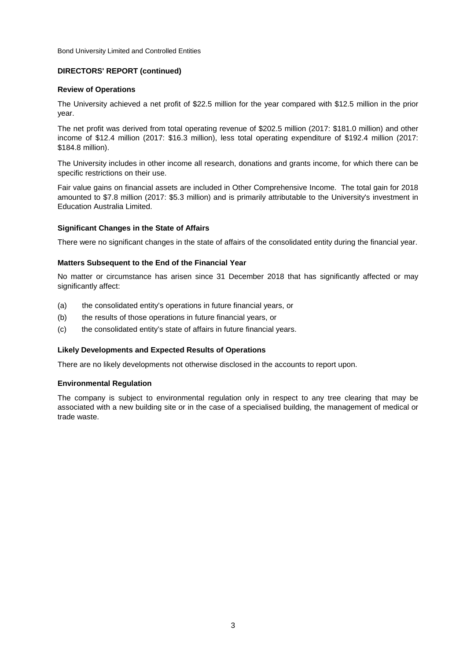### **DIRECTORS' REPORT (continued)**

### **Review of Operations**

The University achieved a net profit of \$22.5 million for the year compared with \$12.5 million in the prior year.

The net profit was derived from total operating revenue of \$202.5 million (2017: \$181.0 million) and other income of \$12.4 million (2017: \$16.3 million), less total operating expenditure of \$192.4 million (2017: \$184.8 million).

The University includes in other income all research, donations and grants income, for which there can be specific restrictions on their use.

Fair value gains on financial assets are included in Other Comprehensive Income. The total gain for 2018 amounted to \$7.8 million (2017: \$5.3 million) and is primarily attributable to the University's investment in Education Australia Limited.

### **Significant Changes in the State of Affairs**

There were no significant changes in the state of affairs of the consolidated entity during the financial year.

### **Matters Subsequent to the End of the Financial Year**

No matter or circumstance has arisen since 31 December 2018 that has significantly affected or may significantly affect:

- (a) the consolidated entity's operations in future financial years, or
- (b) the results of those operations in future financial years, or
- (c) the consolidated entity's state of affairs in future financial years.

### **Likely Developments and Expected Results of Operations**

There are no likely developments not otherwise disclosed in the accounts to report upon.

### **Environmental Regulation**

The company is subject to environmental regulation only in respect to any tree clearing that may be associated with a new building site or in the case of a specialised building, the management of medical or trade waste.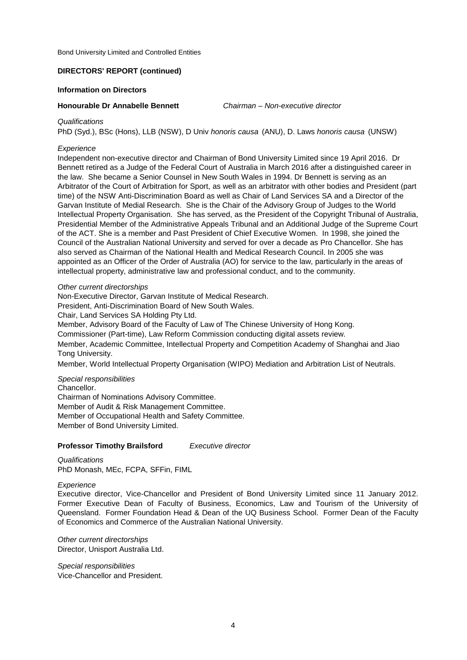### **DIRECTORS' REPORT (continued)**

### **Information on Directors**

### **Honourable Dr Annabelle Bennett**

*Chairman – Non-executive director*

### *Qualifications*

PhD (Syd.), BSc (Hons), LLB (NSW), D Univ *honoris causa* (ANU), D. Laws *honoris causa* (UNSW)

### *Experience*

Independent non-executive director and Chairman of Bond University Limited since 19 April 2016. Dr Bennett retired as a Judge of the Federal Court of Australia in March 2016 after a distinguished career in the law. She became a Senior Counsel in New South Wales in 1994. Dr Bennett is serving as an Arbitrator of the Court of Arbitration for Sport, as well as an arbitrator with other bodies and President (part time) of the NSW Anti-Discrimination Board as well as Chair of Land Services SA and a Director of the Garvan Institute of Medial Research. She is the Chair of the Advisory Group of Judges to the World Intellectual Property Organisation. She has served, as the President of the Copyright Tribunal of Australia, Presidential Member of the Administrative Appeals Tribunal and an Additional Judge of the Supreme Court of the ACT. She is a member and Past President of Chief Executive Women. In 1998, she joined the Council of the Australian National University and served for over a decade as Pro Chancellor. She has also served as Chairman of the National Health and Medical Research Council. In 2005 she was appointed as an Officer of the Order of Australia (AO) for service to the law, particularly in the areas of intellectual property, administrative law and professional conduct, and to the community.

### *Other current directorships*

Non-Executive Director, Garvan Institute of Medical Research.

President, Anti-Discrimination Board of New South Wales.

Chair, Land Services SA Holding Pty Ltd.

Member, Advisory Board of the Faculty of Law of The Chinese University of Hong Kong.

Commissioner (Part-time), Law Reform Commission conducting digital assets review.

Member, Academic Committee, Intellectual Property and Competition Academy of Shanghai and Jiao Tong University.

Member, World Intellectual Property Organisation (WIPO) Mediation and Arbitration List of Neutrals.

*Special responsibilities*

Chancellor. Chairman of Nominations Advisory Committee. Member of Audit & Risk Management Committee. Member of Occupational Health and Safety Committee. Member of Bond University Limited.

### **Professor Timothy Brailsford** *Executive director*

*Qualifications* PhD Monash, MEc, FCPA, SFFin, FIML

### *Experience*

Executive director, Vice-Chancellor and President of Bond University Limited since 11 January 2012. Former Executive Dean of Faculty of Business, Economics, Law and Tourism of the University of Queensland. Former Foundation Head & Dean of the UQ Business School. Former Dean of the Faculty of Economics and Commerce of the Australian National University.

Director, Unisport Australia Ltd. *Other current directorships*

Vice-Chancellor and President. *Special responsibilities*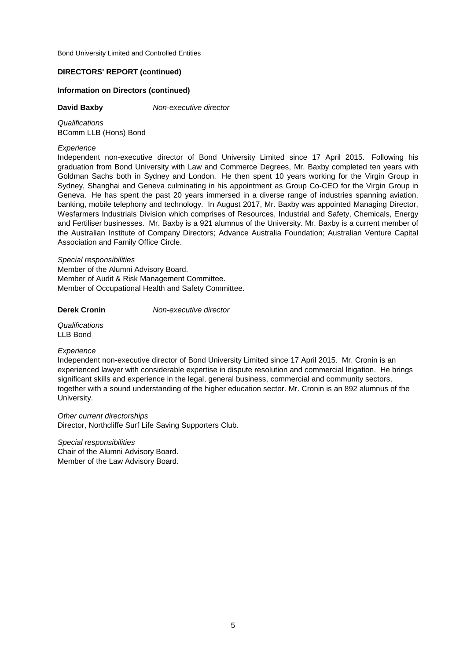### **DIRECTORS' REPORT (continued)**

### **Information on Directors (continued)**

### **David Baxby**

*Non-executive director*

*Qualifications* BComm LLB (Hons) Bond

### *Experience*

Independent non-executive director of Bond University Limited since 17 April 2015. Following his graduation from Bond University with Law and Commerce Degrees, Mr. Baxby completed ten years with Goldman Sachs both in Sydney and London. He then spent 10 years working for the Virgin Group in Sydney, Shanghai and Geneva culminating in his appointment as Group Co-CEO for the Virgin Group in Geneva. He has spent the past 20 years immersed in a diverse range of industries spanning aviation, banking, mobile telephony and technology. In August 2017, Mr. Baxby was appointed Managing Director, Wesfarmers Industrials Division which comprises of Resources, Industrial and Safety, Chemicals, Energy and Fertiliser businesses. Mr. Baxby is a 921 alumnus of the University. Mr. Baxby is a current member of the Australian Institute of Company Directors; Advance Australia Foundation; Australian Venture Capital Association and Family Office Circle.

*Special responsibilities*

Member of Audit & Risk Management Committee. Member of the Alumni Advisory Board. Member of Occupational Health and Safety Committee.

**Derek Cronin** *Non-executive director*

*Qualifications* LLB Bond

### *Experience*

Independent non-executive director of Bond University Limited since 17 April 2015. Mr. Cronin is an experienced lawyer with considerable expertise in dispute resolution and commercial litigation. He brings significant skills and experience in the legal, general business, commercial and community sectors, together with a sound understanding of the higher education sector. Mr. Cronin is an 892 alumnus of the University.

*Other current directorships* Director, Northcliffe Surf Life Saving Supporters Club.

Chair of the Alumni Advisory Board. Member of the Law Advisory Board. *Special responsibilities*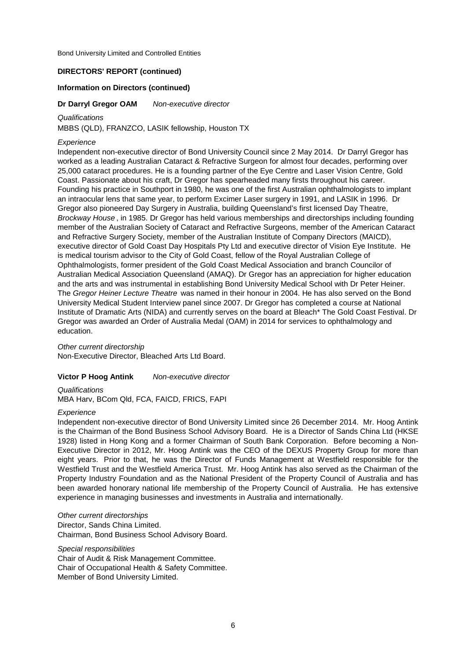### **DIRECTORS' REPORT (continued)**

### **Information on Directors (continued)**

### *Non-executive director* **Dr Darryl Gregor OAM**

*Qualifications*

MBBS (QLD), FRANZCO, LASIK fellowship, Houston TX

### *Experience*

Independent non-executive director of Bond University Council since 2 May 2014. Dr Darryl Gregor has worked as a leading Australian Cataract & Refractive Surgeon for almost four decades, performing over 25,000 cataract procedures. He is a founding partner of the Eye Centre and Laser Vision Centre, Gold Coast. Passionate about his craft, Dr Gregor has spearheaded many firsts throughout his career. Founding his practice in Southport in 1980, he was one of the first Australian ophthalmologists to implant an intraocular lens that same year, to perform Excimer Laser surgery in 1991, and LASIK in 1996. Dr Gregor also pioneered Day Surgery in Australia, building Queensland's first licensed Day Theatre, *Brockway House* , in 1985. Dr Gregor has held various memberships and directorships including founding member of the Australian Society of Cataract and Refractive Surgeons, member of the American Cataract and Refractive Surgery Society, member of the Australian Institute of Company Directors (MAICD), executive director of Gold Coast Day Hospitals Pty Ltd and executive director of Vision Eye Institute. He is medical tourism advisor to the City of Gold Coast, fellow of the Royal Australian College of Ophthalmologists, former president of the Gold Coast Medical Association and branch Councilor of Australian Medical Association Queensland (AMAQ). Dr Gregor has an appreciation for higher education and the arts and was instrumental in establishing Bond University Medical School with Dr Peter Heiner. The *Gregor Heiner Lecture Theatre* was named in their honour in 2004. He has also served on the Bond University Medical Student Interview panel since 2007. Dr Gregor has completed a course at National Institute of Dramatic Arts (NIDA) and currently serves on the board at Bleach\* The Gold Coast Festival. Dr Gregor was awarded an Order of Australia Medal (OAM) in 2014 for services to ophthalmology and education.

Non-Executive Director, Bleached Arts Ltd Board. *Other current directorship*

### *Non-executive director* **Victor P Hoog Antink**

*Qualifications* MBA Harv, BCom Qld, FCA, FAICD, FRICS, FAPI

### *Experience*

Independent non-executive director of Bond University Limited since 26 December 2014. Mr. Hoog Antink is the Chairman of the Bond Business School Advisory Board. He is a Director of Sands China Ltd (HKSE 1928) listed in Hong Kong and a former Chairman of South Bank Corporation. Before becoming a Non-Executive Director in 2012, Mr. Hoog Antink was the CEO of the DEXUS Property Group for more than eight years. Prior to that, he was the Director of Funds Management at Westfield responsible for the Westfield Trust and the Westfield America Trust. Mr. Hoog Antink has also served as the Chairman of the Property Industry Foundation and as the National President of the Property Council of Australia and has been awarded honorary national life membership of the Property Council of Australia. He has extensive experience in managing businesses and investments in Australia and internationally.

Chairman, Bond Business School Advisory Board. *Other current directorships* Director, Sands China Limited.

Member of Bond University Limited. *Special responsibilities* Chair of Audit & Risk Management Committee. Chair of Occupational Health & Safety Committee.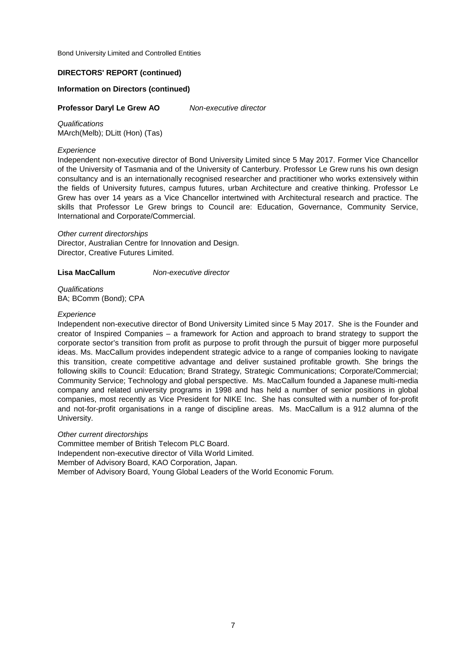### **DIRECTORS' REPORT (continued)**

### **Information on Directors (continued)**

### *Non-executive director* **Professor Daryl Le Grew AO**

*Qualifications* MArch(Melb); DLitt (Hon) (Tas)

### *Experience*

Independent non-executive director of Bond University Limited since 5 May 2017. Former Vice Chancellor of the University of Tasmania and of the University of Canterbury. Professor Le Grew runs his own design consultancy and is an internationally recognised researcher and practitioner who works extensively within the fields of University futures, campus futures, urban Architecture and creative thinking. Professor Le Grew has over 14 years as a Vice Chancellor intertwined with Architectural research and practice. The skills that Professor Le Grew brings to Council are: Education, Governance, Community Service, International and Corporate/Commercial.

*Other current directorships* Director, Australian Centre for Innovation and Design. Director, Creative Futures Limited.

### *Non-executive director* **Lisa MacCallum**

*Qualifications* BA; BComm (Bond); CPA

### *Experience*

Independent non-executive director of Bond University Limited since 5 May 2017. She is the Founder and creator of Inspired Companies – a framework for Action and approach to brand strategy to support the corporate sector's transition from profit as purpose to profit through the pursuit of bigger more purposeful ideas. Ms. MacCallum provides independent strategic advice to a range of companies looking to navigate this transition, create competitive advantage and deliver sustained profitable growth. She brings the following skills to Council: Education; Brand Strategy, Strategic Communications; Corporate/Commercial; Community Service; Technology and global perspective. Ms. MacCallum founded a Japanese multi-media company and related university programs in 1998 and has held a number of senior positions in global companies, most recently as Vice President for NIKE Inc. She has consulted with a number of for-profit and not-for-profit organisations in a range of discipline areas. Ms. MacCallum is a 912 alumna of the University.

### *Other current directorships*

Committee member of British Telecom PLC Board. Member of Advisory Board, KAO Corporation, Japan. Member of Advisory Board, Young Global Leaders of the World Economic Forum. Independent non-executive director of Villa World Limited.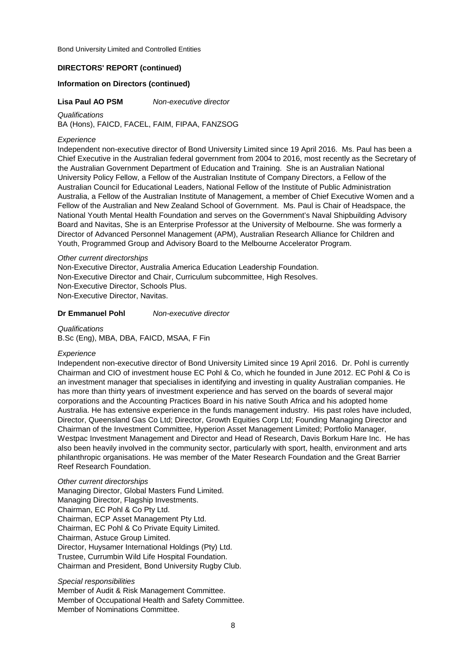### **DIRECTORS' REPORT (continued)**

### **Information on Directors (continued)**

**Lisa Paul AO PSM**

*Non-executive director*

*Qualifications* BA (Hons), FAICD, FACEL, FAIM, FIPAA, FANZSOG

### *Experience*

Independent non-executive director of Bond University Limited since 19 April 2016. Ms. Paul has been a Chief Executive in the Australian federal government from 2004 to 2016, most recently as the Secretary of the Australian Government Department of Education and Training. She is an Australian National University Policy Fellow, a Fellow of the Australian Institute of Company Directors, a Fellow of the Australian Council for Educational Leaders, National Fellow of the Institute of Public Administration Australia, a Fellow of the Australian Institute of Management, a member of Chief Executive Women and a Fellow of the Australian and New Zealand School of Government. Ms. Paul is Chair of Headspace, the National Youth Mental Health Foundation and serves on the Government's Naval Shipbuilding Advisory Board and Navitas, She is an Enterprise Professor at the University of Melbourne. She was formerly a Director of Advanced Personnel Management (APM), Australian Research Alliance for Children and Youth, Programmed Group and Advisory Board to the Melbourne Accelerator Program.

### *Other current directorships*

Non-Executive Director, Australia America Education Leadership Foundation. Non-Executive Director, Navitas. Non-Executive Director and Chair, Curriculum subcommittee, High Resolves. Non-Executive Director, Schools Plus.

### *Non-executive director* **Dr Emmanuel Pohl**

*Qualifications* B.Sc (Eng), MBA, DBA, FAICD, MSAA, F Fin

### *Experience*

Independent non-executive director of Bond University Limited since 19 April 2016. Dr. Pohl is currently Chairman and CIO of investment house EC Pohl & Co, which he founded in June 2012. EC Pohl & Co is an investment manager that specialises in identifying and investing in quality Australian companies. He has more than thirty years of investment experience and has served on the boards of several major corporations and the Accounting Practices Board in his native South Africa and his adopted home Australia. He has extensive experience in the funds management industry. His past roles have included, Director, Queensland Gas Co Ltd; Director, Growth Equities Corp Ltd; Founding Managing Director and Chairman of the Investment Committee, Hyperion Asset Management Limited; Portfolio Manager, Westpac Investment Management and Director and Head of Research, Davis Borkum Hare Inc. He has also been heavily involved in the community sector, particularly with sport, health, environment and arts philanthropic organisations. He was member of the Mater Research Foundation and the Great Barrier Reef Research Foundation.

Chairman, Astuce Group Limited. Trustee, Currumbin Wild Life Hospital Foundation. Chairman and President, Bond University Rugby Club. *Other current directorships* Managing Director, Global Masters Fund Limited. Chairman, EC Pohl & Co Pty Ltd. Chairman, EC Pohl & Co Private Equity Limited. Director, Huysamer International Holdings (Pty) Ltd. Managing Director, Flagship Investments. Chairman, ECP Asset Management Pty Ltd.

### *Special responsibilities*

Member of Audit & Risk Management Committee. Member of Nominations Committee. Member of Occupational Health and Safety Committee.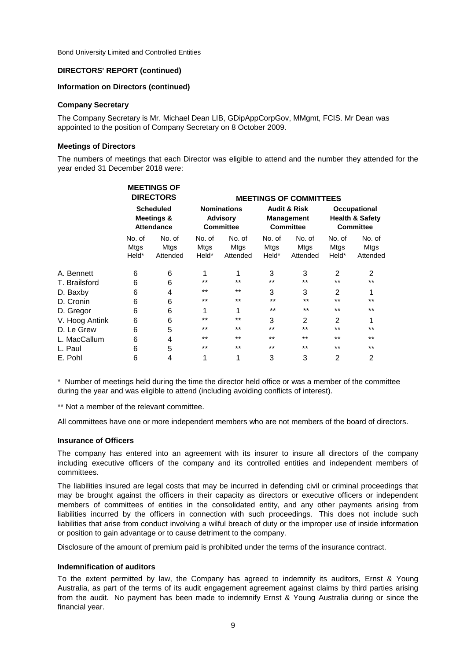### **DIRECTORS' REPORT (continued)**

### **Information on Directors (continued)**

### **Company Secretary**

The Company Secretary is Mr. Michael Dean LIB, GDipAppCorpGov, MMgmt, FCIS. Mr Dean was appointed to the position of Company Secretary on 8 October 2009.

### **Meetings of Directors**

The numbers of meetings that each Director was eligible to attend and the number they attended for the year ended 31 December 2018 were:

| <b>Scheduled</b><br><b>Meetings &amp;</b><br><b>Attendance</b> |                            |                                        |                            |                                                           |                            | Occupational<br><b>Health &amp; Safety</b><br><b>Committee</b>   |                               |
|----------------------------------------------------------------|----------------------------|----------------------------------------|----------------------------|-----------------------------------------------------------|----------------------------|------------------------------------------------------------------|-------------------------------|
| No. of<br>Mtgs<br>Held*                                        | No. of<br>Mtgs<br>Attended | No. of<br>Mtgs<br>Held*                | No. of<br>Mtgs<br>Attended | No. of<br>Mtgs<br>Held*                                   | No. of<br>Mtgs<br>Attended | No. of<br>Mtgs<br>Held*                                          | No. of<br>Mtgs<br>Attended    |
| 6                                                              | 6                          | 1                                      | 1                          | 3                                                         | 3                          | 2                                                                | 2                             |
| 6                                                              | 6                          | $***$                                  | $***$                      | $***$                                                     | $***$                      | $***$                                                            | $***$                         |
| 6                                                              | 4                          | $***$                                  | $***$                      | 3                                                         | 3                          | 2                                                                | 1                             |
| 6                                                              | 6                          | $***$                                  | $***$                      | $***$                                                     | $***$                      | $***$                                                            | $***$                         |
| 6                                                              | 6                          | 1                                      | 1                          | $***$                                                     | $***$                      | $***$                                                            | $***$                         |
| 6                                                              | 6                          | $***$                                  | $***$                      | 3                                                         | 2                          | $\overline{2}$                                                   | 1                             |
| 6                                                              | 5                          | $***$                                  | $***$                      | $***$                                                     | $***$                      | $***$                                                            | $***$                         |
| 6                                                              | 4                          | $***$                                  | $***$                      | $***$                                                     | $***$                      | $***$                                                            | $***$                         |
| 6                                                              | 5                          | $***$                                  | $***$                      | $***$                                                     | $***$                      | $***$                                                            | $***$                         |
| 6                                                              | 4                          | 1                                      | 1                          | 3                                                         | 3                          | $\overline{2}$                                                   | 2                             |
|                                                                |                            | <b>MEETINGS OF</b><br><b>DIRECTORS</b> |                            | <b>Nominations</b><br><b>Advisory</b><br><b>Committee</b> |                            | <b>Audit &amp; Risk</b><br><b>Management</b><br><b>Committee</b> | <b>MEETINGS OF COMMITTEES</b> |

\* Number of meetings held during the time the director held office or was a member of the committee during the year and was eligible to attend (including avoiding conflicts of interest).

\*\* Not a member of the relevant committee.

All committees have one or more independent members who are not members of the board of directors.

### **Insurance of Officers**

The company has entered into an agreement with its insurer to insure all directors of the company including executive officers of the company and its controlled entities and independent members of committees.

The liabilities insured are legal costs that may be incurred in defending civil or criminal proceedings that may be brought against the officers in their capacity as directors or executive officers or independent members of committees of entities in the consolidated entity, and any other payments arising from liabilities incurred by the officers in connection with such proceedings. This does not include such liabilities that arise from conduct involving a wilful breach of duty or the improper use of inside information or position to gain advantage or to cause detriment to the company.

Disclosure of the amount of premium paid is prohibited under the terms of the insurance contract.

### **Indemnification of auditors**

To the extent permitted by law, the Company has agreed to indemnify its auditors, Ernst & Young Australia, as part of the terms of its audit engagement agreement against claims by third parties arising from the audit. No payment has been made to indemnify Ernst & Young Australia during or since the financial year.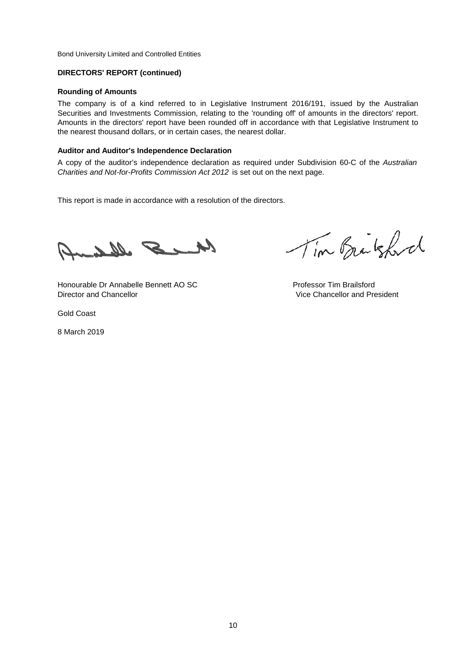### **DIRECTORS' REPORT (continued)**

### **Rounding of Amounts**

The company is of a kind referred to in Legislative Instrument 2016/191, issued by the Australian Securities and Investments Commission, relating to the 'rounding off' of amounts in the directors' report. Amounts in the directors' report have been rounded off in accordance with that Legislative Instrument to the nearest thousand dollars, or in certain cases, the nearest dollar.

### **Auditor and Auditor's Independence Declaration**

A copy of the auditor's independence declaration as required under Subdivision 60-C of the *Australian Charities and Not-for-Profits Commission Act 2012* is set out on the next page.

This report is made in accordance with a resolution of the directors.

Me S Albert

Honourable Dr Annabelle Bennett AO SC **Professor Tim Brailsford** Director and Chancellor Vice Chancellor and President

Gold Coast

8 March 2019

Tim Brakford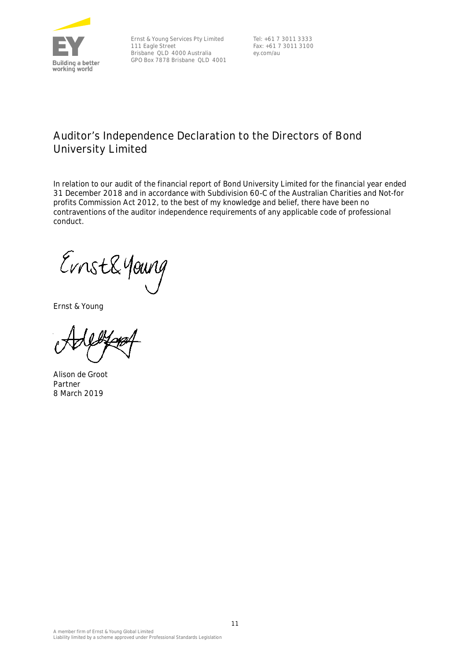

Ernst & Young Services Pty Limited 111 Eagle Street Brisbane QLD 4000 Australia GPO Box 7878 Brisbane QLD 4001

Tel: +61 7 3011 3333 Fax: +61 7 3011 3100 ey.com/au

### **Auditor's Independence Declaration to the Directors of Bond University Limited**

In relation to our audit of the financial report of Bond University Limited for the financial year ended 31 December 2018 and in accordance with Subdivision 60-C of the Australian Charities and Not-for profits Commission Act 2012, to the best of my knowledge and belief, there have been no contraventions of the auditor independence requirements of any applicable code of professional conduct.

Ernst&Young

Ernst & Young

Alison de Groot Partner 8 March 2019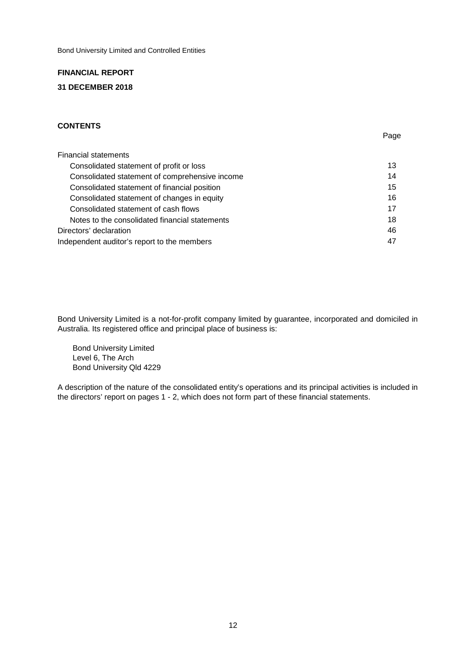### **FINANCIAL REPORT 31 DECEMBER 2018**

### **CONTENTS**

| Financial statements                           |    |
|------------------------------------------------|----|
| Consolidated statement of profit or loss       | 13 |
| Consolidated statement of comprehensive income | 14 |
| Consolidated statement of financial position   | 15 |
| Consolidated statement of changes in equity    | 16 |
| Consolidated statement of cash flows           | 17 |
| Notes to the consolidated financial statements | 18 |
| Directors' declaration                         | 46 |
| Independent auditor's report to the members    | 47 |

Page

Bond University Limited is a not-for-profit company limited by guarantee, incorporated and domiciled in Australia. Its registered office and principal place of business is:

 Bond University Limited Level 6, The Arch Bond University Qld 4229

A description of the nature of the consolidated entity's operations and its principal activities is included in the directors' report on pages 1 - 2, which does not form part of these financial statements.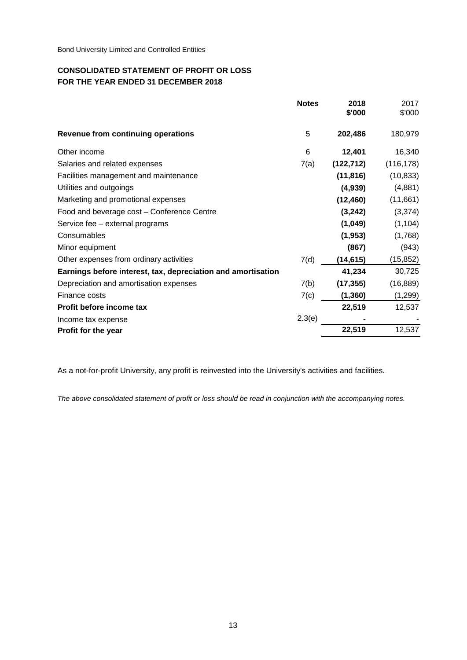### **CONSOLIDATED STATEMENT OF PROFIT OR LOSS FOR THE YEAR ENDED 31 DECEMBER 2018**

|                                                              | <b>Notes</b> | 2018<br>\$'000 | 2017<br>\$'000 |
|--------------------------------------------------------------|--------------|----------------|----------------|
| Revenue from continuing operations                           | 5            | 202,486        | 180,979        |
| Other income                                                 | 6            | 12,401         | 16,340         |
| Salaries and related expenses                                | 7(a)         | (122, 712)     | (116, 178)     |
| Facilities management and maintenance                        |              | (11, 816)      | (10, 833)      |
| Utilities and outgoings                                      |              | (4,939)        | (4,881)        |
| Marketing and promotional expenses                           |              | (12, 460)      | (11,661)       |
| Food and beverage cost - Conference Centre                   |              | (3, 242)       | (3, 374)       |
| Service fee - external programs                              |              | (1,049)        | (1, 104)       |
| Consumables                                                  |              | (1, 953)       | (1,768)        |
| Minor equipment                                              |              | (867)          | (943)          |
| Other expenses from ordinary activities                      | 7(d)         | (14,615)       | (15, 852)      |
| Earnings before interest, tax, depreciation and amortisation |              | 41,234         | 30,725         |
| Depreciation and amortisation expenses                       | 7(b)         | (17, 355)      | (16, 889)      |
| Finance costs                                                | 7(c)         | (1, 360)       | (1, 299)       |
| Profit before income tax                                     |              | 22,519         | 12,537         |
| Income tax expense                                           | 2.3(e)       |                |                |
| Profit for the year                                          |              | 22,519         | 12,537         |

As a not-for-profit University, any profit is reinvested into the University's activities and facilities.

*The above consolidated statement of profit or loss should be read in conjunction with the accompanying notes.*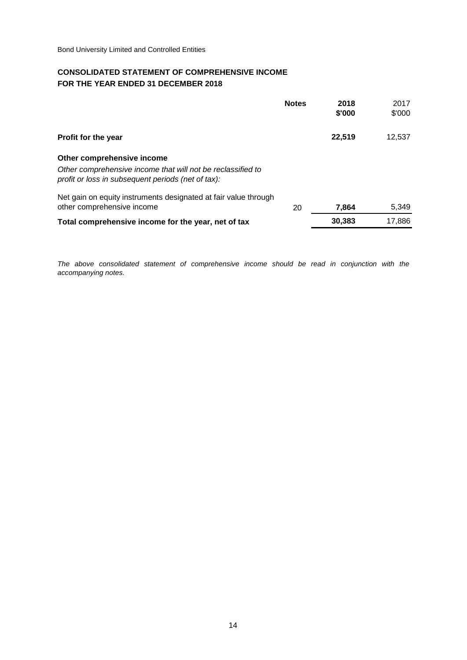### **CONSOLIDATED STATEMENT OF COMPREHENSIVE INCOME FOR THE YEAR ENDED 31 DECEMBER 2018**

|                                                                                                                   | <b>Notes</b> | 2018<br>\$'000 | 2017<br>\$'000 |
|-------------------------------------------------------------------------------------------------------------------|--------------|----------------|----------------|
| Profit for the year                                                                                               |              | 22,519         | 12,537         |
| Other comprehensive income                                                                                        |              |                |                |
| Other comprehensive income that will not be reclassified to<br>profit or loss in subsequent periods (net of tax): |              |                |                |
| Net gain on equity instruments designated at fair value through<br>other comprehensive income                     | 20           | 7,864          | 5,349          |
| Total comprehensive income for the year, net of tax                                                               |              | 30,383         | 17,886         |

*The above consolidated statement of comprehensive income should be read in conjunction with the accompanying notes.*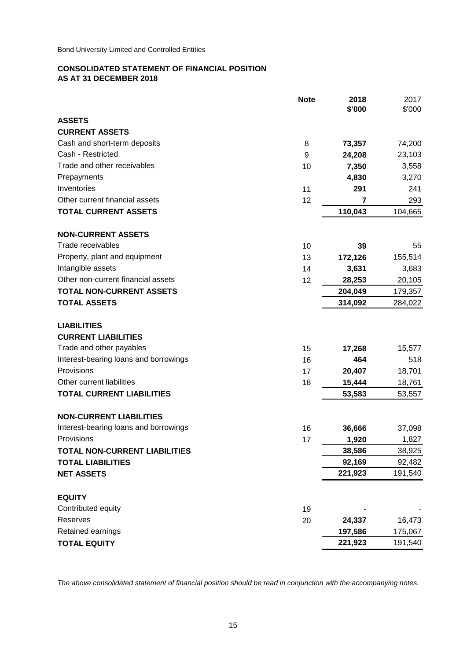### **CONSOLIDATED STATEMENT OF FINANCIAL POSITION AS AT 31 DECEMBER 2018**

|                                       | <b>Note</b> | 2018<br>\$'000 | 2017<br>\$'000 |
|---------------------------------------|-------------|----------------|----------------|
| <b>ASSETS</b>                         |             |                |                |
| <b>CURRENT ASSETS</b>                 |             |                |                |
| Cash and short-term deposits          | 8           | 73,357         | 74,200         |
| Cash - Restricted                     | 9           | 24,208         | 23,103         |
| Trade and other receivables           | 10          | 7,350          | 3,558          |
| Prepayments                           |             | 4,830          | 3,270          |
| Inventories                           | 11          | 291            | 241            |
| Other current financial assets        | 12          | 7              | 293            |
| <b>TOTAL CURRENT ASSETS</b>           |             | 110,043        | 104,665        |
| <b>NON-CURRENT ASSETS</b>             |             |                |                |
| Trade receivables                     | 10          | 39             | 55             |
| Property, plant and equipment         | 13          | 172,126        | 155,514        |
| Intangible assets                     | 14          | 3,631          | 3,683          |
| Other non-current financial assets    | 12          | 28,253         | 20,105         |
| <b>TOTAL NON-CURRENT ASSETS</b>       |             | 204,049        | 179,357        |
| <b>TOTAL ASSETS</b>                   |             | 314,092        | 284,022        |
| <b>LIABILITIES</b>                    |             |                |                |
| <b>CURRENT LIABILITIES</b>            |             |                |                |
| Trade and other payables              | 15          | 17,268         | 15,577         |
| Interest-bearing loans and borrowings | 16          | 464            | 518            |
| Provisions                            | 17          | 20,407         | 18,701         |
| Other current liabilities             | 18          | 15,444         | 18,761         |
| <b>TOTAL CURRENT LIABILITIES</b>      |             | 53,583         | 53,557         |
| <b>NON-CURRENT LIABILITIES</b>        |             |                |                |
| Interest-bearing loans and borrowings | 16          | 36,666         | 37,098         |
| Provisions                            | 17          | 1,920          | 1,827          |
| <b>TOTAL NON-CURRENT LIABILITIES</b>  |             | 38,586         | 38,925         |
| <b>TOTAL LIABILITIES</b>              |             | 92,169         | 92,482         |
| <b>NET ASSETS</b>                     |             | 221,923        | 191,540        |
| <b>EQUITY</b>                         |             |                |                |
| Contributed equity                    | 19          |                |                |
| Reserves                              | 20          | 24,337         | 16,473         |
| Retained earnings                     |             | 197,586        | 175,067        |
| <b>TOTAL EQUITY</b>                   |             | 221,923        | 191,540        |

*The above consolidated statement of financial position should be read in conjunction with the accompanying notes.*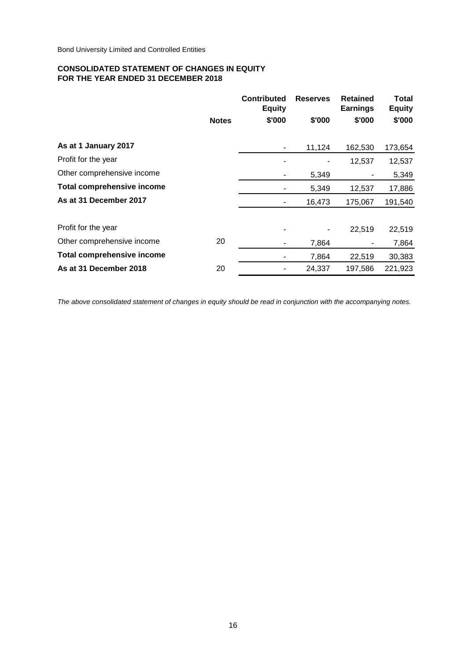### **CONSOLIDATED STATEMENT OF CHANGES IN EQUITY FOR THE YEAR ENDED 31 DECEMBER 2018**

|                                   | <b>Notes</b> | <b>Contributed</b><br><b>Equity</b><br>\$'000 | <b>Reserves</b><br>\$'000 | <b>Retained</b><br><b>Earnings</b><br>\$'000 | Total<br><b>Equity</b><br>\$'000 |
|-----------------------------------|--------------|-----------------------------------------------|---------------------------|----------------------------------------------|----------------------------------|
| As at 1 January 2017              |              |                                               | 11,124                    | 162,530                                      | 173,654                          |
| Profit for the year               |              |                                               |                           | 12,537                                       | 12,537                           |
| Other comprehensive income        |              | ۰                                             | 5,349                     |                                              | 5,349                            |
| <b>Total comprehensive income</b> |              |                                               | 5,349                     | 12,537                                       | 17,886                           |
| As at 31 December 2017            |              |                                               | 16,473                    | 175,067                                      | 191,540                          |
| Profit for the year               |              |                                               |                           | 22,519                                       | 22,519                           |
| Other comprehensive income        | 20           |                                               | 7,864                     |                                              | 7,864                            |
| <b>Total comprehensive income</b> |              | ۰                                             | 7,864                     | 22,519                                       | 30,383                           |
| As at 31 December 2018            | 20           |                                               | 24,337                    | 197,586                                      | 221,923                          |

*The above consolidated statement of changes in equity should be read in conjunction with the accompanying notes.*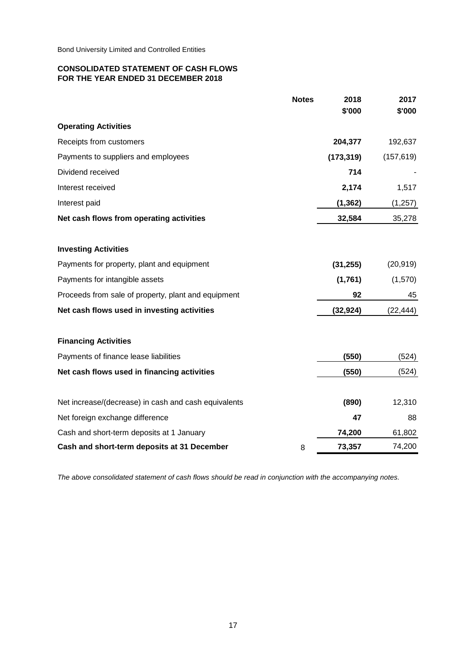### **CONSOLIDATED STATEMENT OF CASH FLOWS FOR THE YEAR ENDED 31 DECEMBER 2018**

|                                                      | <b>Notes</b> | 2018<br>\$'000 | 2017<br>\$'000 |
|------------------------------------------------------|--------------|----------------|----------------|
| <b>Operating Activities</b>                          |              |                |                |
|                                                      |              |                |                |
| Receipts from customers                              |              | 204,377        | 192,637        |
| Payments to suppliers and employees                  |              | (173, 319)     | (157, 619)     |
| Dividend received                                    |              | 714            |                |
| Interest received                                    |              | 2,174          | 1,517          |
| Interest paid                                        |              | (1, 362)       | (1, 257)       |
| Net cash flows from operating activities             |              | 32,584         | 35,278         |
| <b>Investing Activities</b>                          |              |                |                |
| Payments for property, plant and equipment           |              | (31, 255)      | (20, 919)      |
| Payments for intangible assets                       |              | (1,761)        | (1,570)        |
| Proceeds from sale of property, plant and equipment  |              | 92             | 45             |
| Net cash flows used in investing activities          |              | (32, 924)      | (22, 444)      |
| <b>Financing Activities</b>                          |              |                |                |
| Payments of finance lease liabilities                |              | (550)          | (524)          |
| Net cash flows used in financing activities          |              | (550)          | (524)          |
| Net increase/(decrease) in cash and cash equivalents |              | (890)          | 12,310         |
| Net foreign exchange difference                      |              | 47             | 88             |
| Cash and short-term deposits at 1 January            |              | 74,200         | 61,802         |
| Cash and short-term deposits at 31 December          | 8            | 73,357         | 74,200         |

*The above consolidated statement of cash flows should be read in conjunction with the accompanying notes.*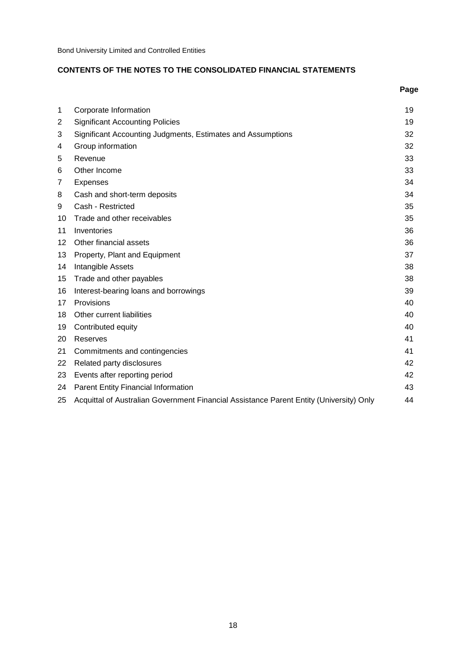### **CONTENTS OF THE NOTES TO THE CONSOLIDATED FINANCIAL STATEMENTS**

|                 |                                                                                         | Page |
|-----------------|-----------------------------------------------------------------------------------------|------|
| 1               | Corporate Information                                                                   | 19   |
| $\overline{2}$  | <b>Significant Accounting Policies</b>                                                  | 19   |
| 3               | Significant Accounting Judgments, Estimates and Assumptions                             | 32   |
| 4               | Group information                                                                       | 32   |
| 5               | Revenue                                                                                 | 33   |
| 6               | Other Income                                                                            | 33   |
| 7               | <b>Expenses</b>                                                                         | 34   |
| 8               | Cash and short-term deposits                                                            | 34   |
| 9               | Cash - Restricted                                                                       | 35   |
| 10              | Trade and other receivables                                                             | 35   |
| 11              | Inventories                                                                             | 36   |
| 12 <sup>2</sup> | Other financial assets                                                                  | 36   |
| 13              | Property, Plant and Equipment                                                           | 37   |
| 14              | Intangible Assets                                                                       | 38   |
| 15              | Trade and other payables                                                                | 38   |
| 16              | Interest-bearing loans and borrowings                                                   | 39   |
| 17              | Provisions                                                                              | 40   |
| 18              | Other current liabilities                                                               | 40   |
| 19              | Contributed equity                                                                      | 40   |
| 20              | Reserves                                                                                | 41   |
| 21              | Commitments and contingencies                                                           | 41   |
| 22              | Related party disclosures                                                               | 42   |
| 23              | Events after reporting period                                                           | 42   |
| 24              | Parent Entity Financial Information                                                     | 43   |
| 25              | Acquittal of Australian Government Financial Assistance Parent Entity (University) Only | 44   |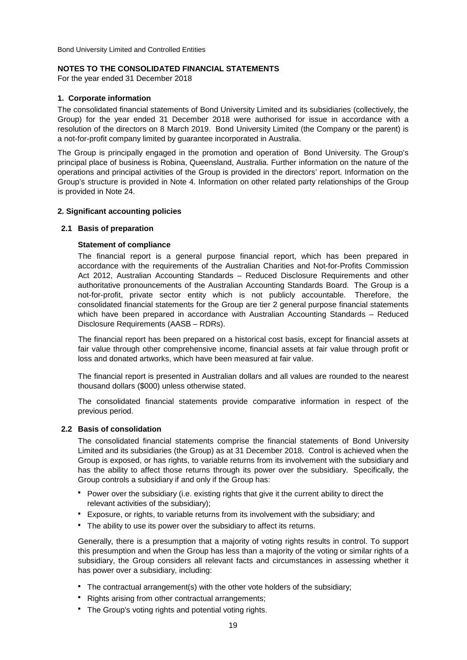### **NOTES TO THE CONSOLIDATED FINANCIAL STATEMENTS**

For the year ended 31 December 2018

### **1. Corporate information**

The consolidated financial statements of Bond University Limited and its subsidiaries (collectively, the Group) for the year ended 31 December 2018 were authorised for issue in accordance with a resolution of the directors on 8 March 2019. Bond University Limited (the Company or the parent) is a not-for-profit company limited by guarantee incorporated in Australia.

The Group is principally engaged in the promotion and operation of Bond University. The Group's principal place of business is Robina, Queensland, Australia. Further information on the nature of the operations and principal activities of the Group is provided in the directors' report. Information on the Group's structure is provided in Note 4. Information on other related party relationships of the Group is provided in Note 24.

### **2. Significant accounting policies**

### **2.1 Basis of preparation**

### **Statement of compliance**

The financial report is a general purpose financial report, which has been prepared in accordance with the requirements of the Australian Charities and Not-for-Profits Commission Act 2012, Australian Accounting Standards – Reduced Disclosure Requirements and other authoritative pronouncements of the Australian Accounting Standards Board. The Group is a not-for-profit, private sector entity which is not publicly accountable. Therefore, the consolidated financial statements for the Group are tier 2 general purpose financial statements which have been prepared in accordance with Australian Accounting Standards – Reduced Disclosure Requirements (AASB – RDRs).

The financial report has been prepared on a historical cost basis, except for financial assets at fair value through other comprehensive income, financial assets at fair value through profit or loss and donated artworks, which have been measured at fair value.

The financial report is presented in Australian dollars and all values are rounded to the nearest thousand dollars (\$000) unless otherwise stated.

The consolidated financial statements provide comparative information in respect of the previous period.

### **2.2 Basis of consolidation**

The consolidated financial statements comprise the financial statements of Bond University Limited and its subsidiaries (the Group) as at 31 December 2018. Control is achieved when the Group is exposed, or has rights, to variable returns from its involvement with the subsidiary and has the ability to affect those returns through its power over the subsidiary. Specifically, the Group controls a subsidiary if and only if the Group has:

- Power over the subsidiary (i.e. existing rights that give it the current ability to direct the relevant activities of the subsidiary);
- Exposure, or rights, to variable returns from its involvement with the subsidiary; and
- The ability to use its power over the subsidiary to affect its returns.

Generally, there is a presumption that a majority of voting rights results in control. To support this presumption and when the Group has less than a majority of the voting or similar rights of a subsidiary, the Group considers all relevant facts and circumstances in assessing whether it has power over a subsidiary, including:

- The contractual arrangement(s) with the other vote holders of the subsidiary;
- **•** Rights arising from other contractual arrangements;
- The Group's voting rights and potential voting rights.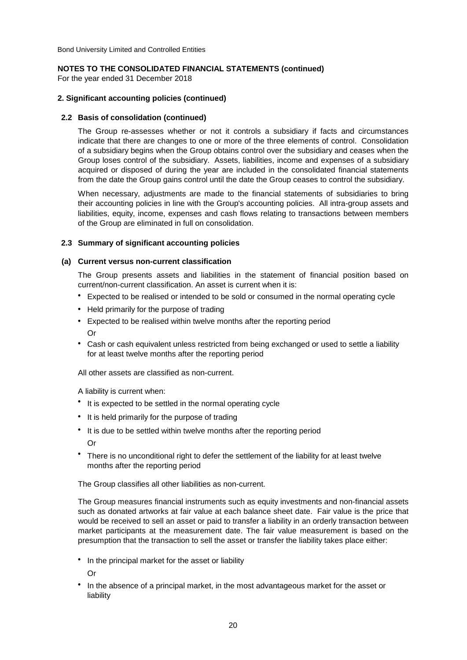### **NOTES TO THE CONSOLIDATED FINANCIAL STATEMENTS (continued)**

For the year ended 31 December 2018

### **2. Significant accounting policies (continued)**

### **2.2 Basis of consolidation (continued)**

The Group re-assesses whether or not it controls a subsidiary if facts and circumstances indicate that there are changes to one or more of the three elements of control. Consolidation of a subsidiary begins when the Group obtains control over the subsidiary and ceases when the Group loses control of the subsidiary. Assets, liabilities, income and expenses of a subsidiary acquired or disposed of during the year are included in the consolidated financial statements from the date the Group gains control until the date the Group ceases to control the subsidiary.

When necessary, adjustments are made to the financial statements of subsidiaries to bring their accounting policies in line with the Group's accounting policies. All intra-group assets and liabilities, equity, income, expenses and cash flows relating to transactions between members of the Group are eliminated in full on consolidation.

### **2.3 Summary of significant accounting policies**

### **(a) Current versus non-current classification**

The Group presents assets and liabilities in the statement of financial position based on current/non-current classification. An asset is current when it is:

- Expected to be realised or intended to be sold or consumed in the normal operating cycle
- Held primarily for the purpose of trading
- Expected to be realised within twelve months after the reporting period Or
- Cash or cash equivalent unless restricted from being exchanged or used to settle a liability for at least twelve months after the reporting period

All other assets are classified as non-current.

A liability is current when:

- It is expected to be settled in the normal operating cycle
- It is held primarily for the purpose of trading
- It is due to be settled within twelve months after the reporting period Or
- There is no unconditional right to defer the settlement of the liability for at least twelve months after the reporting period

The Group classifies all other liabilities as non-current.

The Group measures financial instruments such as equity investments and non-financial assets such as donated artworks at fair value at each balance sheet date. Fair value is the price that would be received to sell an asset or paid to transfer a liability in an orderly transaction between market participants at the measurement date. The fair value measurement is based on the presumption that the transaction to sell the asset or transfer the liability takes place either:

**•**  In the principal market for the asset or liability

Or

**•**  In the absence of a principal market, in the most advantageous market for the asset or liability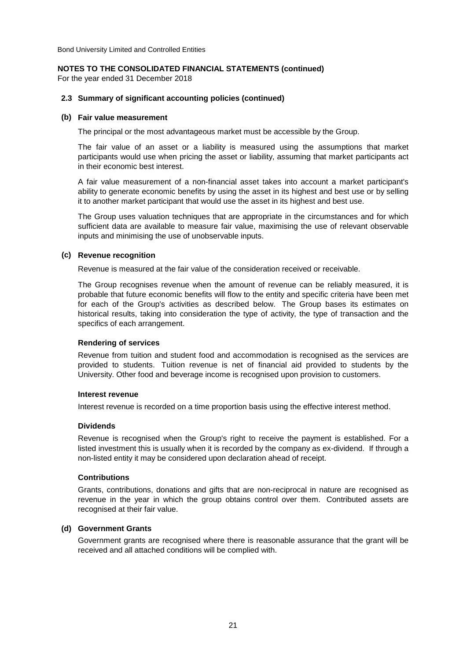### **NOTES TO THE CONSOLIDATED FINANCIAL STATEMENTS (continued)**

For the year ended 31 December 2018

### **2.3 Summary of significant accounting policies (continued)**

### **(b) Fair value measurement**

The principal or the most advantageous market must be accessible by the Group.

The fair value of an asset or a liability is measured using the assumptions that market participants would use when pricing the asset or liability, assuming that market participants act in their economic best interest.

A fair value measurement of a non-financial asset takes into account a market participant's ability to generate economic benefits by using the asset in its highest and best use or by selling it to another market participant that would use the asset in its highest and best use.

The Group uses valuation techniques that are appropriate in the circumstances and for which sufficient data are available to measure fair value, maximising the use of relevant observable inputs and minimising the use of unobservable inputs.

### **(c) Revenue recognition**

Revenue is measured at the fair value of the consideration received or receivable.

The Group recognises revenue when the amount of revenue can be reliably measured, it is probable that future economic benefits will flow to the entity and specific criteria have been met for each of the Group's activities as described below. The Group bases its estimates on historical results, taking into consideration the type of activity, the type of transaction and the specifics of each arrangement.

### **Rendering of services**

Revenue from tuition and student food and accommodation is recognised as the services are provided to students. Tuition revenue is net of financial aid provided to students by the University. Other food and beverage income is recognised upon provision to customers.

### **Interest revenue**

Interest revenue is recorded on a time proportion basis using the effective interest method.

### **Dividends**

Revenue is recognised when the Group's right to receive the payment is established. For a listed investment this is usually when it is recorded by the company as ex-dividend. If through a non-listed entity it may be considered upon declaration ahead of receipt.

### **Contributions**

Grants, contributions, donations and gifts that are non-reciprocal in nature are recognised as revenue in the year in which the group obtains control over them. Contributed assets are recognised at their fair value.

### **(d) Government Grants**

Government grants are recognised where there is reasonable assurance that the grant will be received and all attached conditions will be complied with.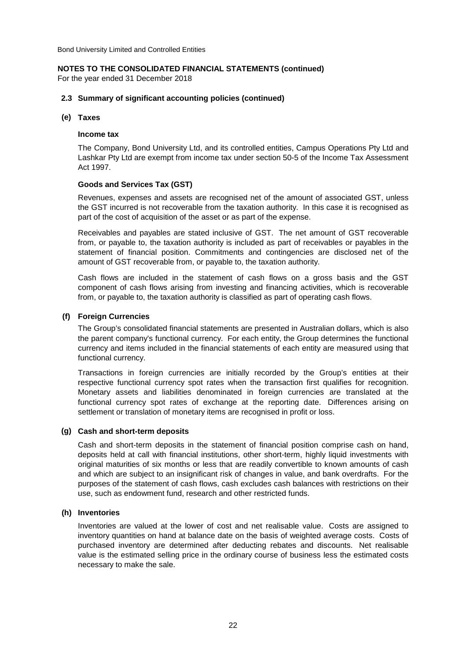### **NOTES TO THE CONSOLIDATED FINANCIAL STATEMENTS (continued)**

For the year ended 31 December 2018

### **2.3 Summary of significant accounting policies (continued)**

### **(e) Taxes**

### **Income tax**

The Company, Bond University Ltd, and its controlled entities, Campus Operations Pty Ltd and Lashkar Pty Ltd are exempt from income tax under section 50-5 of the Income Tax Assessment Act 1997.

### **Goods and Services Tax (GST)**

Revenues, expenses and assets are recognised net of the amount of associated GST, unless the GST incurred is not recoverable from the taxation authority. In this case it is recognised as part of the cost of acquisition of the asset or as part of the expense.

Receivables and payables are stated inclusive of GST. The net amount of GST recoverable from, or payable to, the taxation authority is included as part of receivables or payables in the statement of financial position. Commitments and contingencies are disclosed net of the amount of GST recoverable from, or payable to, the taxation authority.

Cash flows are included in the statement of cash flows on a gross basis and the GST component of cash flows arising from investing and financing activities, which is recoverable from, or payable to, the taxation authority is classified as part of operating cash flows.

### **(f) Foreign Currencies**

The Group's consolidated financial statements are presented in Australian dollars, which is also the parent company's functional currency. For each entity, the Group determines the functional currency and items included in the financial statements of each entity are measured using that functional currency.

Transactions in foreign currencies are initially recorded by the Group's entities at their respective functional currency spot rates when the transaction first qualifies for recognition. Monetary assets and liabilities denominated in foreign currencies are translated at the functional currency spot rates of exchange at the reporting date. Differences arising on settlement or translation of monetary items are recognised in profit or loss.

### **(g) Cash and short-term deposits**

Cash and short-term deposits in the statement of financial position comprise cash on hand, deposits held at call with financial institutions, other short-term, highly liquid investments with original maturities of six months or less that are readily convertible to known amounts of cash and which are subject to an insignificant risk of changes in value, and bank overdrafts. For the purposes of the statement of cash flows, cash excludes cash balances with restrictions on their use, such as endowment fund, research and other restricted funds.

### **(h) Inventories**

Inventories are valued at the lower of cost and net realisable value. Costs are assigned to inventory quantities on hand at balance date on the basis of weighted average costs. Costs of purchased inventory are determined after deducting rebates and discounts. Net realisable value is the estimated selling price in the ordinary course of business less the estimated costs necessary to make the sale.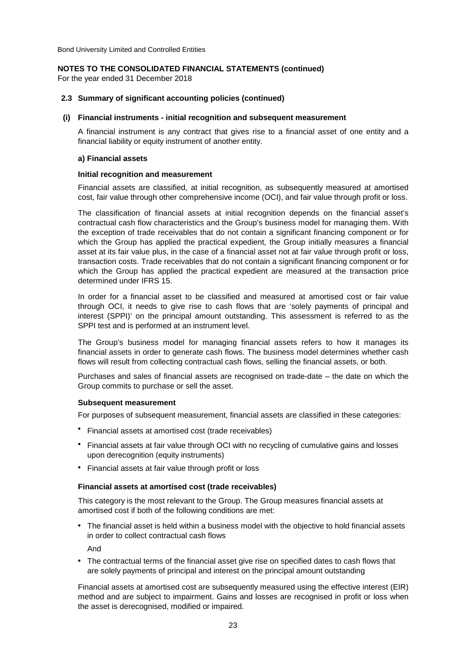### **NOTES TO THE CONSOLIDATED FINANCIAL STATEMENTS (continued)**

For the year ended 31 December 2018

### **2.3 Summary of significant accounting policies (continued)**

### **(i) Financial instruments - initial recognition and subsequent measurement**

A financial instrument is any contract that gives rise to a financial asset of one entity and a financial liability or equity instrument of another entity.

### **a) Financial assets**

### **Initial recognition and measurement**

Financial assets are classified, at initial recognition, as subsequently measured at amortised cost, fair value through other comprehensive income (OCI), and fair value through profit or loss.

The classification of financial assets at initial recognition depends on the financial asset's contractual cash flow characteristics and the Group's business model for managing them. With the exception of trade receivables that do not contain a significant financing component or for which the Group has applied the practical expedient, the Group initially measures a financial asset at its fair value plus, in the case of a financial asset not at fair value through profit or loss, transaction costs. Trade receivables that do not contain a significant financing component or for which the Group has applied the practical expedient are measured at the transaction price determined under IFRS 15.

In order for a financial asset to be classified and measured at amortised cost or fair value through OCI, it needs to give rise to cash flows that are 'solely payments of principal and interest (SPPI)' on the principal amount outstanding. This assessment is referred to as the SPPI test and is performed at an instrument level.

The Group's business model for managing financial assets refers to how it manages its financial assets in order to generate cash flows. The business model determines whether cash flows will result from collecting contractual cash flows, selling the financial assets, or both.

Purchases and sales of financial assets are recognised on trade-date – the date on which the Group commits to purchase or sell the asset.

### **Subsequent measurement**

For purposes of subsequent measurement, financial assets are classified in these categories:

- Financial assets at amortised cost (trade receivables)
- Financial assets at fair value through OCI with no recycling of cumulative gains and losses upon derecognition (equity instruments)
- Financial assets at fair value through profit or loss

### **Financial assets at amortised cost (trade receivables)**

This category is the most relevant to the Group. The Group measures financial assets at amortised cost if both of the following conditions are met:

**•**  The financial asset is held within a business model with the objective to hold financial assets in order to collect contractual cash flows

And

**•**  The contractual terms of the financial asset give rise on specified dates to cash flows that are solely payments of principal and interest on the principal amount outstanding

Financial assets at amortised cost are subsequently measured using the effective interest (EIR) method and are subject to impairment. Gains and losses are recognised in profit or loss when the asset is derecognised, modified or impaired.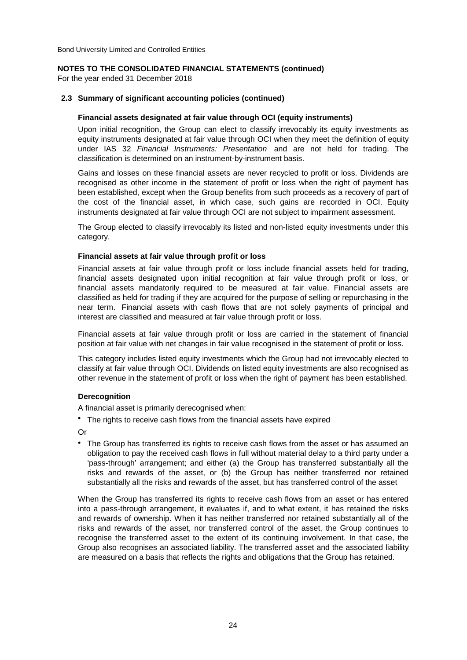### **NOTES TO THE CONSOLIDATED FINANCIAL STATEMENTS (continued)**

For the year ended 31 December 2018

### **2.3 Summary of significant accounting policies (continued)**

### **Financial assets designated at fair value through OCI (equity instruments)**

Upon initial recognition, the Group can elect to classify irrevocably its equity investments as equity instruments designated at fair value through OCI when they meet the definition of equity under IAS 32 *Financial Instruments: Presentation* and are not held for trading. The classification is determined on an instrument-by-instrument basis.

Gains and losses on these financial assets are never recycled to profit or loss. Dividends are recognised as other income in the statement of profit or loss when the right of payment has been established, except when the Group benefits from such proceeds as a recovery of part of the cost of the financial asset, in which case, such gains are recorded in OCI. Equity instruments designated at fair value through OCI are not subject to impairment assessment.

The Group elected to classify irrevocably its listed and non-listed equity investments under this category.

### **Financial assets at fair value through profit or loss**

Financial assets at fair value through profit or loss include financial assets held for trading, financial assets designated upon initial recognition at fair value through profit or loss, or financial assets mandatorily required to be measured at fair value. Financial assets are classified as held for trading if they are acquired for the purpose of selling or repurchasing in the near term. Financial assets with cash flows that are not solely payments of principal and interest are classified and measured at fair value through profit or loss.

Financial assets at fair value through profit or loss are carried in the statement of financial position at fair value with net changes in fair value recognised in the statement of profit or loss.

This category includes listed equity investments which the Group had not irrevocably elected to classify at fair value through OCI. Dividends on listed equity investments are also recognised as other revenue in the statement of profit or loss when the right of payment has been established.

### **Derecognition**

A financial asset is primarily derecognised when:

**•**  The rights to receive cash flows from the financial assets have expired

Or

**•**  The Group has transferred its rights to receive cash flows from the asset or has assumed an obligation to pay the received cash flows in full without material delay to a third party under a 'pass-through' arrangement; and either (a) the Group has transferred substantially all the risks and rewards of the asset, or (b) the Group has neither transferred nor retained substantially all the risks and rewards of the asset, but has transferred control of the asset

When the Group has transferred its rights to receive cash flows from an asset or has entered into a pass-through arrangement, it evaluates if, and to what extent, it has retained the risks and rewards of ownership. When it has neither transferred nor retained substantially all of the risks and rewards of the asset, nor transferred control of the asset, the Group continues to recognise the transferred asset to the extent of its continuing involvement. In that case, the Group also recognises an associated liability. The transferred asset and the associated liability are measured on a basis that reflects the rights and obligations that the Group has retained.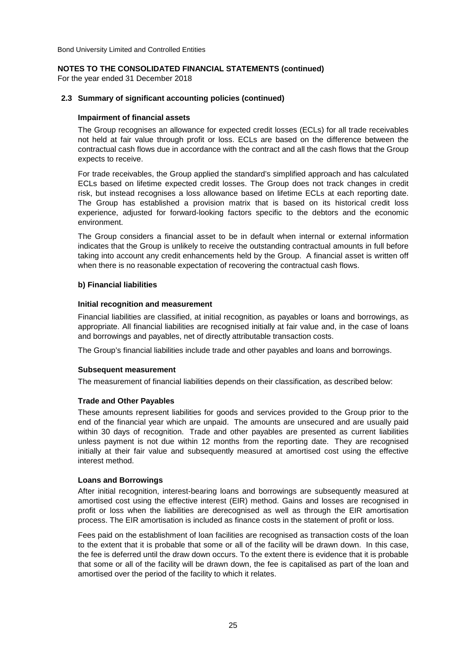### **NOTES TO THE CONSOLIDATED FINANCIAL STATEMENTS (continued)**

For the year ended 31 December 2018

### **2.3 Summary of significant accounting policies (continued)**

### **Impairment of financial assets**

The Group recognises an allowance for expected credit losses (ECLs) for all trade receivables not held at fair value through profit or loss. ECLs are based on the difference between the contractual cash flows due in accordance with the contract and all the cash flows that the Group expects to receive.

For trade receivables, the Group applied the standard's simplified approach and has calculated ECLs based on lifetime expected credit losses. The Group does not track changes in credit risk, but instead recognises a loss allowance based on lifetime ECLs at each reporting date. The Group has established a provision matrix that is based on its historical credit loss experience, adjusted for forward-looking factors specific to the debtors and the economic environment.

The Group considers a financial asset to be in default when internal or external information indicates that the Group is unlikely to receive the outstanding contractual amounts in full before taking into account any credit enhancements held by the Group. A financial asset is written off when there is no reasonable expectation of recovering the contractual cash flows.

### **b) Financial liabilities**

### **Initial recognition and measurement**

Financial liabilities are classified, at initial recognition, as payables or loans and borrowings, as appropriate. All financial liabilities are recognised initially at fair value and, in the case of loans and borrowings and payables, net of directly attributable transaction costs.

The Group's financial liabilities include trade and other payables and loans and borrowings.

### **Subsequent measurement**

The measurement of financial liabilities depends on their classification, as described below:

### **Trade and Other Payables**

These amounts represent liabilities for goods and services provided to the Group prior to the end of the financial year which are unpaid. The amounts are unsecured and are usually paid within 30 days of recognition. Trade and other payables are presented as current liabilities unless payment is not due within 12 months from the reporting date. They are recognised initially at their fair value and subsequently measured at amortised cost using the effective interest method.

### **Loans and Borrowings**

After initial recognition, interest-bearing loans and borrowings are subsequently measured at amortised cost using the effective interest (EIR) method. Gains and losses are recognised in profit or loss when the liabilities are derecognised as well as through the EIR amortisation process. The EIR amortisation is included as finance costs in the statement of profit or loss.

Fees paid on the establishment of loan facilities are recognised as transaction costs of the loan to the extent that it is probable that some or all of the facility will be drawn down. In this case, the fee is deferred until the draw down occurs. To the extent there is evidence that it is probable that some or all of the facility will be drawn down, the fee is capitalised as part of the loan and amortised over the period of the facility to which it relates.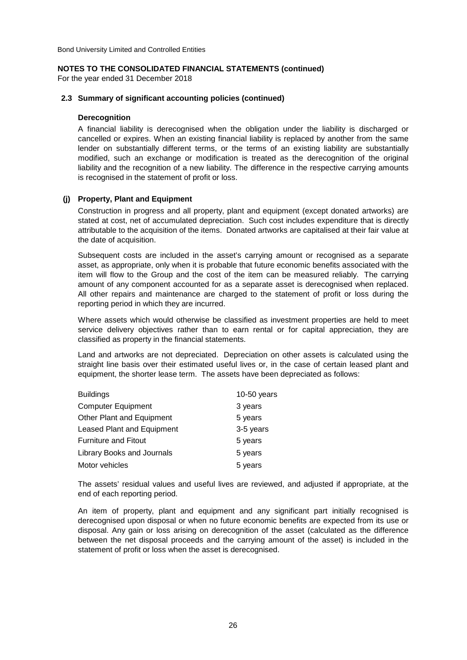### **NOTES TO THE CONSOLIDATED FINANCIAL STATEMENTS (continued)**

For the year ended 31 December 2018

### **2.3 Summary of significant accounting policies (continued)**

### **Derecognition**

A financial liability is derecognised when the obligation under the liability is discharged or cancelled or expires. When an existing financial liability is replaced by another from the same lender on substantially different terms, or the terms of an existing liability are substantially modified, such an exchange or modification is treated as the derecognition of the original liability and the recognition of a new liability. The difference in the respective carrying amounts is recognised in the statement of profit or loss.

### **(j) Property, Plant and Equipment**

Construction in progress and all property, plant and equipment (except donated artworks) are stated at cost, net of accumulated depreciation. Such cost includes expenditure that is directly attributable to the acquisition of the items. Donated artworks are capitalised at their fair value at the date of acquisition.

Subsequent costs are included in the asset's carrying amount or recognised as a separate asset, as appropriate, only when it is probable that future economic benefits associated with the item will flow to the Group and the cost of the item can be measured reliably. The carrying amount of any component accounted for as a separate asset is derecognised when replaced. All other repairs and maintenance are charged to the statement of profit or loss during the reporting period in which they are incurred.

Where assets which would otherwise be classified as investment properties are held to meet service delivery objectives rather than to earn rental or for capital appreciation, they are classified as property in the financial statements.

Land and artworks are not depreciated. Depreciation on other assets is calculated using the straight line basis over their estimated useful lives or, in the case of certain leased plant and equipment, the shorter lease term. The assets have been depreciated as follows:

| <b>Buildings</b>                  | $10-50$ years |
|-----------------------------------|---------------|
| <b>Computer Equipment</b>         | 3 years       |
| Other Plant and Equipment         | 5 years       |
| <b>Leased Plant and Equipment</b> | 3-5 years     |
| <b>Furniture and Fitout</b>       | 5 years       |
| Library Books and Journals        | 5 years       |
| Motor vehicles                    | 5 years       |

The assets' residual values and useful lives are reviewed, and adjusted if appropriate, at the end of each reporting period.

An item of property, plant and equipment and any significant part initially recognised is derecognised upon disposal or when no future economic benefits are expected from its use or disposal. Any gain or loss arising on derecognition of the asset (calculated as the difference between the net disposal proceeds and the carrying amount of the asset) is included in the statement of profit or loss when the asset is derecognised.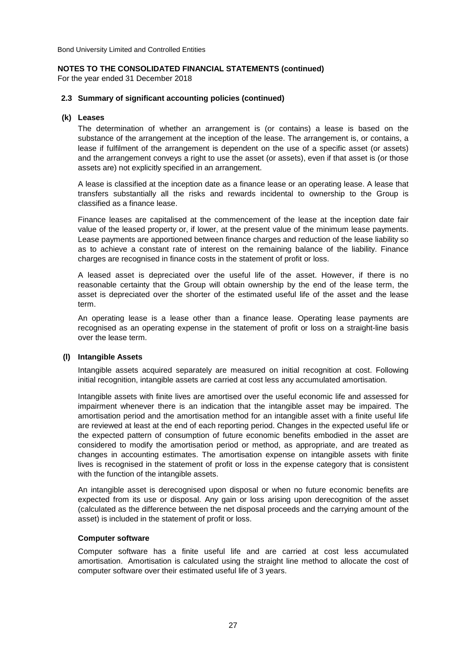### **NOTES TO THE CONSOLIDATED FINANCIAL STATEMENTS (continued)**

For the year ended 31 December 2018

### **2.3 Summary of significant accounting policies (continued)**

### **(k) Leases**

The determination of whether an arrangement is (or contains) a lease is based on the substance of the arrangement at the inception of the lease. The arrangement is, or contains, a lease if fulfilment of the arrangement is dependent on the use of a specific asset (or assets) and the arrangement conveys a right to use the asset (or assets), even if that asset is (or those assets are) not explicitly specified in an arrangement.

A lease is classified at the inception date as a finance lease or an operating lease. A lease that transfers substantially all the risks and rewards incidental to ownership to the Group is classified as a finance lease.

Finance leases are capitalised at the commencement of the lease at the inception date fair value of the leased property or, if lower, at the present value of the minimum lease payments. Lease payments are apportioned between finance charges and reduction of the lease liability so as to achieve a constant rate of interest on the remaining balance of the liability. Finance charges are recognised in finance costs in the statement of profit or loss.

A leased asset is depreciated over the useful life of the asset. However, if there is no reasonable certainty that the Group will obtain ownership by the end of the lease term, the asset is depreciated over the shorter of the estimated useful life of the asset and the lease term.

An operating lease is a lease other than a finance lease. Operating lease payments are recognised as an operating expense in the statement of profit or loss on a straight-line basis over the lease term.

### **(l) Intangible Assets**

Intangible assets acquired separately are measured on initial recognition at cost. Following initial recognition, intangible assets are carried at cost less any accumulated amortisation.

Intangible assets with finite lives are amortised over the useful economic life and assessed for impairment whenever there is an indication that the intangible asset may be impaired. The amortisation period and the amortisation method for an intangible asset with a finite useful life are reviewed at least at the end of each reporting period. Changes in the expected useful life or the expected pattern of consumption of future economic benefits embodied in the asset are considered to modify the amortisation period or method, as appropriate, and are treated as changes in accounting estimates. The amortisation expense on intangible assets with finite lives is recognised in the statement of profit or loss in the expense category that is consistent with the function of the intangible assets.

An intangible asset is derecognised upon disposal or when no future economic benefits are expected from its use or disposal. Any gain or loss arising upon derecognition of the asset (calculated as the difference between the net disposal proceeds and the carrying amount of the asset) is included in the statement of profit or loss.

### **Computer software**

Computer software has a finite useful life and are carried at cost less accumulated amortisation. Amortisation is calculated using the straight line method to allocate the cost of computer software over their estimated useful life of 3 years.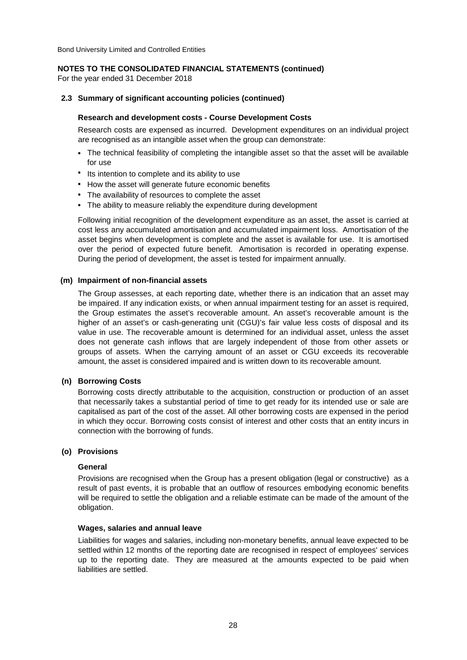### **NOTES TO THE CONSOLIDATED FINANCIAL STATEMENTS (continued)**

For the year ended 31 December 2018

### **2.3 Summary of significant accounting policies (continued)**

### **Research and development costs - Course Development Costs**

Research costs are expensed as incurred. Development expenditures on an individual project are recognised as an intangible asset when the group can demonstrate:

- The technical feasibility of completing the intangible asset so that the asset will be available for use
- Its intention to complete and its ability to use
- How the asset will generate future economic benefits
- The availability of resources to complete the asset
- The ability to measure reliably the expenditure during development

Following initial recognition of the development expenditure as an asset, the asset is carried at cost less any accumulated amortisation and accumulated impairment loss. Amortisation of the asset begins when development is complete and the asset is available for use. It is amortised over the period of expected future benefit. Amortisation is recorded in operating expense. During the period of development, the asset is tested for impairment annually.

### **(m) Impairment of non-financial assets**

The Group assesses, at each reporting date, whether there is an indication that an asset may be impaired. If any indication exists, or when annual impairment testing for an asset is required, the Group estimates the asset's recoverable amount. An asset's recoverable amount is the higher of an asset's or cash-generating unit (CGU)'s fair value less costs of disposal and its value in use. The recoverable amount is determined for an individual asset, unless the asset does not generate cash inflows that are largely independent of those from other assets or groups of assets. When the carrying amount of an asset or CGU exceeds its recoverable amount, the asset is considered impaired and is written down to its recoverable amount.

### **(n) Borrowing Costs**

Borrowing costs directly attributable to the acquisition, construction or production of an asset that necessarily takes a substantial period of time to get ready for its intended use or sale are capitalised as part of the cost of the asset. All other borrowing costs are expensed in the period in which they occur. Borrowing costs consist of interest and other costs that an entity incurs in connection with the borrowing of funds.

### **(o) Provisions**

### **General**

Provisions are recognised when the Group has a present obligation (legal or constructive) as a result of past events, it is probable that an outflow of resources embodying economic benefits will be required to settle the obligation and a reliable estimate can be made of the amount of the obligation.

### **Wages, salaries and annual leave**

Liabilities for wages and salaries, including non-monetary benefits, annual leave expected to be settled within 12 months of the reporting date are recognised in respect of employees' services up to the reporting date. They are measured at the amounts expected to be paid when liabilities are settled.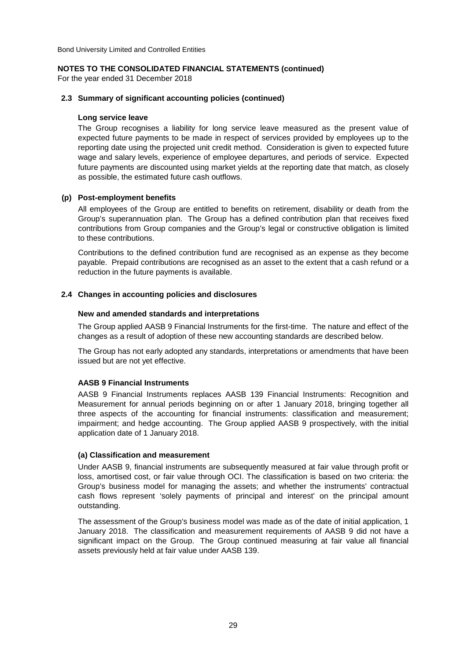### **NOTES TO THE CONSOLIDATED FINANCIAL STATEMENTS (continued)**

For the year ended 31 December 2018

### **2.3 Summary of significant accounting policies (continued)**

### **Long service leave**

The Group recognises a liability for long service leave measured as the present value of expected future payments to be made in respect of services provided by employees up to the reporting date using the projected unit credit method. Consideration is given to expected future wage and salary levels, experience of employee departures, and periods of service. Expected future payments are discounted using market yields at the reporting date that match, as closely as possible, the estimated future cash outflows.

### **(p) Post-employment benefits**

All employees of the Group are entitled to benefits on retirement, disability or death from the Group's superannuation plan. The Group has a defined contribution plan that receives fixed contributions from Group companies and the Group's legal or constructive obligation is limited to these contributions.

Contributions to the defined contribution fund are recognised as an expense as they become payable. Prepaid contributions are recognised as an asset to the extent that a cash refund or a reduction in the future payments is available.

### **2.4 Changes in accounting policies and disclosures**

### **New and amended standards and interpretations**

The Group applied AASB 9 Financial Instruments for the first-time. The nature and effect of the changes as a result of adoption of these new accounting standards are described below.

The Group has not early adopted any standards, interpretations or amendments that have been issued but are not yet effective.

### **AASB 9 Financial Instruments**

AASB 9 Financial Instruments replaces AASB 139 Financial Instruments: Recognition and Measurement for annual periods beginning on or after 1 January 2018, bringing together all three aspects of the accounting for financial instruments: classification and measurement; impairment; and hedge accounting. The Group applied AASB 9 prospectively, with the initial application date of 1 January 2018.

### **(a) Classification and measurement**

Under AASB 9, financial instruments are subsequently measured at fair value through profit or loss, amortised cost, or fair value through OCI. The classification is based on two criteria: the Group's business model for managing the assets; and whether the instruments' contractual cash flows represent 'solely payments of principal and interest' on the principal amount outstanding.

The assessment of the Group's business model was made as of the date of initial application, 1 January 2018. The classification and measurement requirements of AASB 9 did not have a significant impact on the Group. The Group continued measuring at fair value all financial assets previously held at fair value under AASB 139.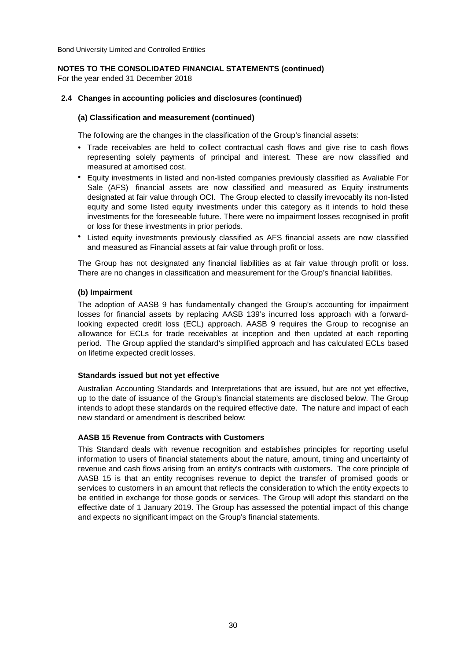### **NOTES TO THE CONSOLIDATED FINANCIAL STATEMENTS (continued)**

For the year ended 31 December 2018

### **2.4 Changes in accounting policies and disclosures (continued)**

### **(a) Classification and measurement (continued)**

The following are the changes in the classification of the Group's financial assets:

- Trade receivables are held to collect contractual cash flows and give rise to cash flows representing solely payments of principal and interest. These are now classified and measured at amortised cost.
- Equity investments in listed and non-listed companies previously classified as Avaliable For Sale (AFS) financial assets are now classified and measured as Equity instruments designated at fair value through OCI. The Group elected to classify irrevocably its non-listed equity and some listed equity investments under this category as it intends to hold these investments for the foreseeable future. There were no impairment losses recognised in profit or loss for these investments in prior periods.
- Listed equity investments previously classified as AFS financial assets are now classified and measured as Financial assets at fair value through profit or loss.

The Group has not designated any financial liabilities as at fair value through profit or loss. There are no changes in classification and measurement for the Group's financial liabilities.

### **(b) Impairment**

The adoption of AASB 9 has fundamentally changed the Group's accounting for impairment losses for financial assets by replacing AASB 139's incurred loss approach with a forwardlooking expected credit loss (ECL) approach. AASB 9 requires the Group to recognise an allowance for ECLs for trade receivables at inception and then updated at each reporting period. The Group applied the standard's simplified approach and has calculated ECLs based on lifetime expected credit losses.

### **Standards issued but not yet effective**

Australian Accounting Standards and Interpretations that are issued, but are not yet effective, up to the date of issuance of the Group's financial statements are disclosed below. The Group intends to adopt these standards on the required effective date. The nature and impact of each new standard or amendment is described below:

### **AASB 15 Revenue from Contracts with Customers**

This Standard deals with revenue recognition and establishes principles for reporting useful information to users of financial statements about the nature, amount, timing and uncertainty of revenue and cash flows arising from an entity's contracts with customers. The core principle of AASB 15 is that an entity recognises revenue to depict the transfer of promised goods or services to customers in an amount that reflects the consideration to which the entity expects to be entitled in exchange for those goods or services. The Group will adopt this standard on the effective date of 1 January 2019. The Group has assessed the potential impact of this change and expects no significant impact on the Group's financial statements.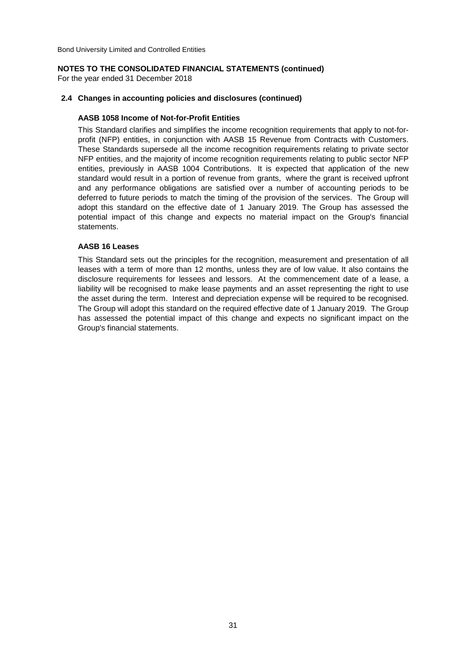### **NOTES TO THE CONSOLIDATED FINANCIAL STATEMENTS (continued)**

For the year ended 31 December 2018

### **2.4 Changes in accounting policies and disclosures (continued)**

### **AASB 1058 Income of Not-for-Profit Entities**

This Standard clarifies and simplifies the income recognition requirements that apply to not-forprofit (NFP) entities, in conjunction with AASB 15 Revenue from Contracts with Customers. These Standards supersede all the income recognition requirements relating to private sector NFP entities, and the majority of income recognition requirements relating to public sector NFP entities, previously in AASB 1004 Contributions. It is expected that application of the new standard would result in a portion of revenue from grants, where the grant is received upfront and any performance obligations are satisfied over a number of accounting periods to be deferred to future periods to match the timing of the provision of the services. The Group will adopt this standard on the effective date of 1 January 2019. The Group has assessed the potential impact of this change and expects no material impact on the Group's financial statements.

### **AASB 16 Leases**

This Standard sets out the principles for the recognition, measurement and presentation of all leases with a term of more than 12 months, unless they are of low value. It also contains the disclosure requirements for lessees and lessors. At the commencement date of a lease, a liability will be recognised to make lease payments and an asset representing the right to use the asset during the term. Interest and depreciation expense will be required to be recognised. The Group will adopt this standard on the required effective date of 1 January 2019. The Group has assessed the potential impact of this change and expects no significant impact on the Group's financial statements.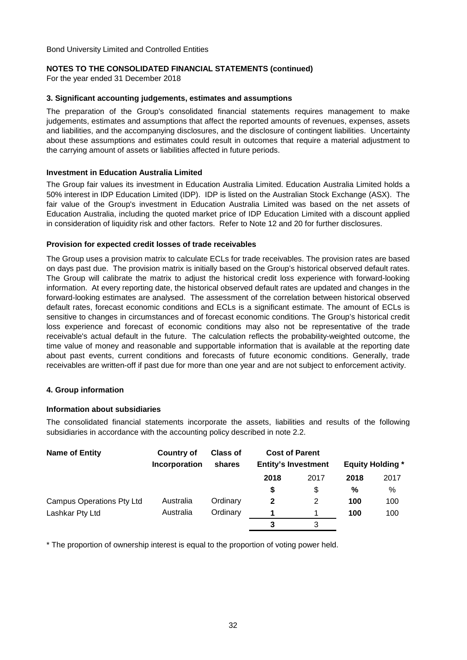### **NOTES TO THE CONSOLIDATED FINANCIAL STATEMENTS (continued)**

For the year ended 31 December 2018

### **3. Significant accounting judgements, estimates and assumptions**

The preparation of the Group's consolidated financial statements requires management to make judgements, estimates and assumptions that affect the reported amounts of revenues, expenses, assets and liabilities, and the accompanying disclosures, and the disclosure of contingent liabilities. Uncertainty about these assumptions and estimates could result in outcomes that require a material adjustment to the carrying amount of assets or liabilities affected in future periods.

### **Investment in Education Australia Limited**

The Group fair values its investment in Education Australia Limited. Education Australia Limited holds a 50% interest in IDP Education Limited (IDP). IDP is listed on the Australian Stock Exchange (ASX). The fair value of the Group's investment in Education Australia Limited was based on the net assets of Education Australia, including the quoted market price of IDP Education Limited with a discount applied in consideration of liquidity risk and other factors. Refer to Note 12 and 20 for further disclosures.

### **Provision for expected credit losses of trade receivables**

The Group uses a provision matrix to calculate ECLs for trade receivables. The provision rates are based on days past due. The provision matrix is initially based on the Group's historical observed default rates. The Group will calibrate the matrix to adjust the historical credit loss experience with forward-looking information. At every reporting date, the historical observed default rates are updated and changes in the forward-looking estimates are analysed. The assessment of the correlation between historical observed default rates, forecast economic conditions and ECLs is a significant estimate. The amount of ECLs is sensitive to changes in circumstances and of forecast economic conditions. The Group's historical credit loss experience and forecast of economic conditions may also not be representative of the trade receivable's actual default in the future. The calculation reflects the probability-weighted outcome, the time value of money and reasonable and supportable information that is available at the reporting date about past events, current conditions and forecasts of future economic conditions. Generally, trade receivables are written-off if past due for more than one year and are not subject to enforcement activity.

### **4. Group information**

### **Information about subsidiaries**

The consolidated financial statements incorporate the assets, liabilities and results of the following subsidiaries in accordance with the accounting policy described in note 2.2.

| <b>Name of Entity</b>            | <b>Country of</b><br><b>Incorporation</b> | <b>Class of</b><br>shares | <b>Cost of Parent</b><br><b>Entity's Investment</b> |      | <b>Equity Holding *</b> |      |
|----------------------------------|-------------------------------------------|---------------------------|-----------------------------------------------------|------|-------------------------|------|
|                                  |                                           |                           | 2018                                                | 2017 | 2018                    | 2017 |
|                                  |                                           |                           |                                                     | \$   | %                       | %    |
| <b>Campus Operations Pty Ltd</b> | Australia                                 | Ordinary                  | $\mathbf{2}$                                        | 2    | 100                     | 100  |
| Lashkar Pty Ltd                  | Australia                                 | Ordinary                  |                                                     |      | 100                     | 100  |
|                                  |                                           |                           |                                                     |      |                         |      |

\* The proportion of ownership interest is equal to the proportion of voting power held.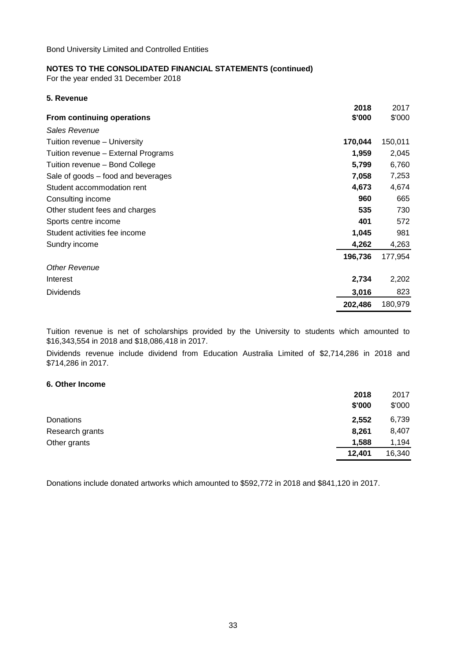For the year ended 31 December 2018

| 5. Revenue                          |         |         |
|-------------------------------------|---------|---------|
|                                     | 2018    | 2017    |
| From continuing operations          | \$'000  | \$'000  |
| Sales Revenue                       |         |         |
| Tuition revenue - University        | 170,044 | 150,011 |
| Tuition revenue - External Programs | 1,959   | 2,045   |
| Tuition revenue - Bond College      | 5,799   | 6,760   |
| Sale of goods – food and beverages  | 7,058   | 7,253   |
| Student accommodation rent          | 4,673   | 4,674   |
| Consulting income                   | 960     | 665     |
| Other student fees and charges      | 535     | 730     |
| Sports centre income                | 401     | 572     |
| Student activities fee income       | 1,045   | 981     |
| Sundry income                       | 4,262   | 4,263   |
|                                     | 196,736 | 177,954 |
| <b>Other Revenue</b>                |         |         |
| Interest                            | 2,734   | 2,202   |
| <b>Dividends</b>                    | 3,016   | 823     |
|                                     | 202,486 | 180,979 |

Tuition revenue is net of scholarships provided by the University to students which amounted to \$16,343,554 in 2018 and \$18,086,418 in 2017.

Dividends revenue include dividend from Education Australia Limited of \$2,714,286 in 2018 and \$714,286 in 2017.

### **6. Other Income**

|                 | 2018   | 2017   |
|-----------------|--------|--------|
|                 | \$'000 | \$'000 |
| Donations       | 2,552  | 6,739  |
| Research grants | 8,261  | 8,407  |
| Other grants    | 1,588  | 1,194  |
|                 | 12,401 | 16,340 |

Donations include donated artworks which amounted to \$592,772 in 2018 and \$841,120 in 2017.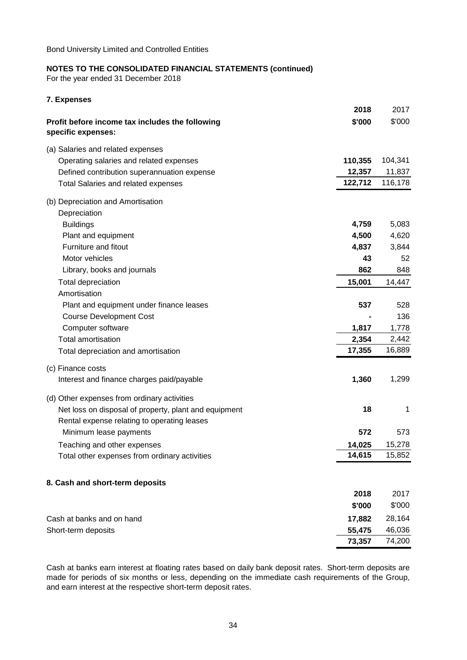For the year ended 31 December 2018

**7. Expenses**

|                                                                       | 2018    | 2017    |
|-----------------------------------------------------------------------|---------|---------|
| Profit before income tax includes the following<br>specific expenses: | \$'000  | \$'000  |
| (a) Salaries and related expenses                                     |         |         |
| Operating salaries and related expenses                               | 110,355 | 104,341 |
| Defined contribution superannuation expense                           | 12,357  | 11,837  |
| <b>Total Salaries and related expenses</b>                            | 122,712 | 116,178 |
| (b) Depreciation and Amortisation                                     |         |         |
| Depreciation                                                          |         |         |
| <b>Buildings</b>                                                      | 4,759   | 5,083   |
| Plant and equipment                                                   | 4,500   | 4,620   |
| Furniture and fitout                                                  | 4,837   | 3,844   |
| Motor vehicles                                                        | 43      | 52      |
| Library, books and journals                                           | 862     | 848     |
| <b>Total depreciation</b>                                             | 15,001  | 14,447  |
| Amortisation                                                          |         |         |
| Plant and equipment under finance leases                              | 537     | 528     |
| <b>Course Development Cost</b>                                        |         | 136     |
| Computer software                                                     | 1,817   | 1,778   |
| <b>Total amortisation</b>                                             | 2,354   | 2,442   |
| Total depreciation and amortisation                                   | 17,355  | 16,889  |
| (c) Finance costs                                                     |         |         |
| Interest and finance charges paid/payable                             | 1,360   | 1,299   |
| (d) Other expenses from ordinary activities                           |         |         |
| Net loss on disposal of property, plant and equipment                 | 18      | 1       |
| Rental expense relating to operating leases                           |         |         |
| Minimum lease payments                                                | 572     | 573     |
| Teaching and other expenses                                           | 14,025  | 15,278  |
| Total other expenses from ordinary activities                         | 14,615  | 15,852  |
|                                                                       |         |         |
| 8. Cash and short-term deposits                                       |         |         |
|                                                                       | 2018    | 2017    |
|                                                                       | \$'000  | \$'000  |
| Cash at banks and on hand                                             | 17,882  | 28,164  |
| Short-term deposits                                                   | 55,475  | 46,036  |
|                                                                       | 73,357  | 74,200  |

Cash at banks earn interest at floating rates based on daily bank deposit rates. Short-term deposits are made for periods of six months or less, depending on the immediate cash requirements of the Group, and earn interest at the respective short-term deposit rates.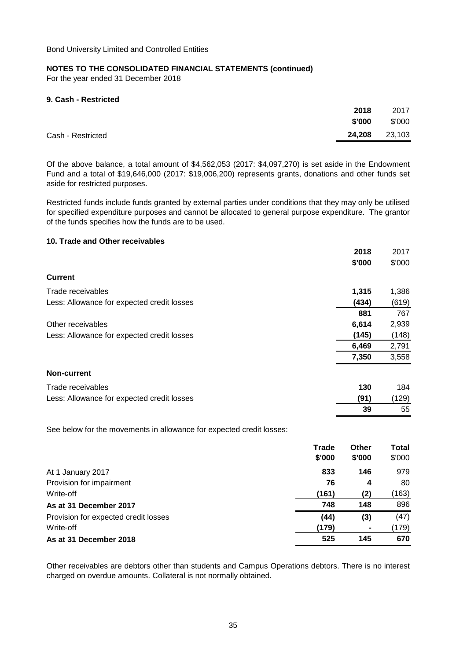For the year ended 31 December 2018

### **9. Cash - Restricted**

|                   | 2018   | 2017   |
|-------------------|--------|--------|
|                   | \$'000 | \$'000 |
| Cash - Restricted | 24,208 | 23,103 |

Of the above balance, a total amount of \$4,562,053 (2017: \$4,097,270) is set aside in the Endowment Fund and a total of \$19,646,000 (2017: \$19,006,200) represents grants, donations and other funds set aside for restricted purposes.

Restricted funds include funds granted by external parties under conditions that they may only be utilised for specified expenditure purposes and cannot be allocated to general purpose expenditure. The grantor of the funds specifies how the funds are to be used.

### **10. Trade and Other receivables**

|                                            | 2018   | 2017   |
|--------------------------------------------|--------|--------|
|                                            | \$'000 | \$'000 |
| <b>Current</b>                             |        |        |
| Trade receivables                          | 1,315  | 1,386  |
| Less: Allowance for expected credit losses | (434)  | (619)  |
|                                            | 881    | 767    |
| Other receivables                          | 6,614  | 2,939  |
| Less: Allowance for expected credit losses | (145)  | (148)  |
|                                            | 6,469  | 2,791  |
|                                            | 7,350  | 3,558  |
| <b>Non-current</b>                         |        |        |
| Trade receivables                          | 130    | 184    |
| Less: Allowance for expected credit losses | (91)   | (129)  |
|                                            | 39     | 55     |

See below for the movements in allowance for expected credit losses:

|                                      | Trade<br>\$'000 | Other<br>\$'000 | Total<br>\$'000 |
|--------------------------------------|-----------------|-----------------|-----------------|
| At 1 January 2017                    | 833             | 146             | 979             |
| Provision for impairment             | 76              | 4               | 80              |
| Write-off                            | (161)           | (2)             | (163)           |
| As at 31 December 2017               | 748             | 148             | 896             |
| Provision for expected credit losses | (44)            | (3)             | (47)            |
| Write-off                            | (179)           | $\blacksquare$  | (179)           |
| As at 31 December 2018               | 525             | 145             | 670             |

Other receivables are debtors other than students and Campus Operations debtors. There is no interest charged on overdue amounts. Collateral is not normally obtained.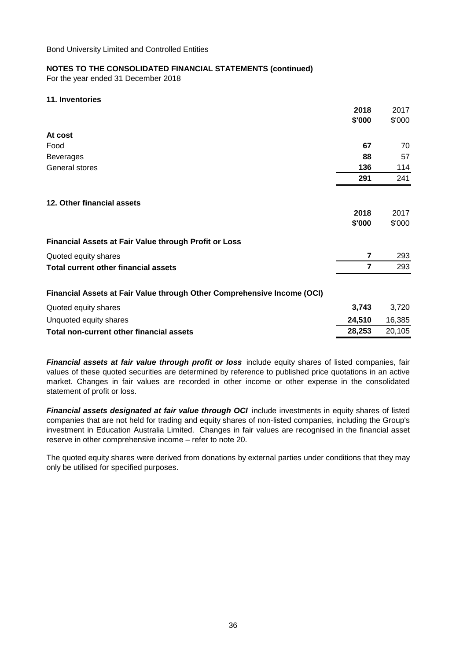For the year ended 31 December 2018

### **11. Inventories**

|                                                                         | 2018   | 2017   |
|-------------------------------------------------------------------------|--------|--------|
|                                                                         | \$'000 | \$'000 |
| At cost                                                                 |        |        |
| Food                                                                    | 67     | 70     |
| <b>Beverages</b>                                                        | 88     | 57     |
| General stores                                                          | 136    | 114    |
|                                                                         | 291    | 241    |
| 12. Other financial assets                                              |        |        |
|                                                                         | 2018   | 2017   |
|                                                                         | \$'000 | \$'000 |
| Financial Assets at Fair Value through Profit or Loss                   |        |        |
| Quoted equity shares                                                    | 7      | 293    |
| <b>Total current other financial assets</b>                             | 7      | 293    |
| Financial Assets at Fair Value through Other Comprehensive Income (OCI) |        |        |
| Quoted equity shares                                                    | 3,743  | 3,720  |
| Unquoted equity shares                                                  | 24,510 | 16,385 |
| Total non-current other financial assets                                | 28,253 | 20,105 |

*Financial assets at fair value through profit or loss* include equity shares of listed companies, fair values of these quoted securities are determined by reference to published price quotations in an active market. Changes in fair values are recorded in other income or other expense in the consolidated statement of profit or loss.

*Financial assets designated at fair value through OCI* include investments in equity shares of listed companies that are not held for trading and equity shares of non-listed companies, including the Group's investment in Education Australia Limited. Changes in fair values are recognised in the financial asset reserve in other comprehensive income – refer to note 20.

The quoted equity shares were derived from donations by external parties under conditions that they may only be utilised for specified purposes.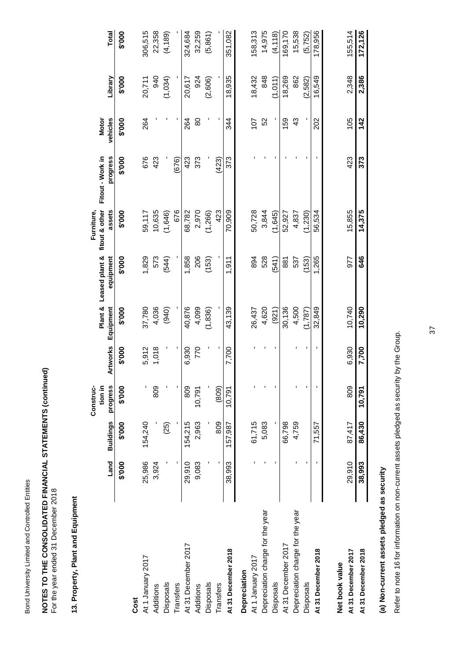Bond University Limited and Controlled Entities Bond University Limited and Controlled Entities

## **NOTES TO THE CONSOLIDATED FINANCIAL STATEMENTS (continued)**<br>For the year ended 31 December 2018 **NOTES TO THE CONSOLIDATED FINANCIAL STATEMENTS (continued)**

For the year ended 31 December 2018

### 13. Property, Plant and Equipment **13. Property, Plant and Equipment**

|                                  |        |                  | Construc- |                 |           |                | Furniture,     |                  |              |         |          |
|----------------------------------|--------|------------------|-----------|-----------------|-----------|----------------|----------------|------------------|--------------|---------|----------|
|                                  |        |                  | tion in   |                 | Plant &   | Leased plant & | fitout & other | Fitout - Work in | <b>Motor</b> |         |          |
|                                  | Land   | <b>Buildings</b> | progress  | <b>Artworks</b> | Equipment | equipment      | assets         | progress         | vehicles     | Library | Total    |
|                                  | \$'000 | \$'000           | \$'000    | \$'000          | \$'000    | \$'000         | \$'000         | \$'000           | \$'000       | \$'000  | \$'000   |
| Cost                             |        |                  |           |                 |           |                |                |                  |              |         |          |
| At 1 January 2017                | 25,986 | 154,240          |           | 5,912           | 37,780    | 1,829          | 59,117         | 676              | 264          | 20,711  | 306,515  |
| Additions                        | 3,924  |                  | 809       | 1,018           | 4,036     | 573            | 10,635         | 423              |              | 940     | 22,358   |
| <b>Disposals</b>                 |        | (25)             |           |                 | (940)     | (544)          | (1,646)        |                  |              | (1,034) | (4, 189) |
| <b>Transfers</b>                 |        |                  |           |                 |           |                | 676            | (676)            |              |         |          |
| At 31 December 2017              | 29,910 | 154,215          | 809       | 6,930           | 40,876    | 1,858          | 68,782         | 423              | 264          | 20,617  | 324,684  |
| Additions                        | 9,083  | 2,963            | 10,791    | 770             | 4,099     | 206            | 2,970          | 373              | 80           | 924     | 32,259   |
| <b>Disposals</b>                 |        |                  |           |                 | (1,836)   | (153)          | (1, 266)       |                  |              | (2,606) | (5,861)  |
| <b>Transfers</b>                 |        | 809              | (809)     |                 |           |                | 423            | (423)            |              |         |          |
| At 31 December 2018              | 38,993 | 157,987          | 10,791    | 7,700           | 43,139    | 1,911          | 70,909         | 373              | 344          | 18,935  | 351,082  |
| Depreciation                     |        |                  |           |                 |           |                |                |                  |              |         |          |
| At 1 January 2017                |        | 61,715           |           |                 | 26,437    | 894            | 50,728         |                  | 107          | 18,432  | 158,313  |
| Depreciation charge for the year |        | 5,083            |           |                 | 4,620     | 528            | 3,844          |                  | 52           | 848     | 14,975   |
| <b>Disposals</b>                 |        |                  |           |                 | (921)     | (541)          | (1,645)        |                  |              | (1,011) | (4, 118) |
| At 31 December 2017              |        | 66,798           |           |                 | 30,136    | 881            | 52,927         |                  | 159          | 18,269  | 169,170  |
| Depreciation charge for the year |        | 4,759            |           |                 | 4,500     | 537            | 4,837          |                  | 43           | 862     | 15,538   |
| Disposals                        |        |                  |           |                 | (1,787)   | (153)          | (1,230)        |                  |              | (2,582) | (5, 752) |
| At 31 December 2018              |        | 71,557           |           | f,              | 32,849    | 1,265          | 56,534         |                  | 202          | 16,549  | 178,956  |
| Net book value                   |        |                  |           |                 |           |                |                |                  |              |         |          |
| At 31 December 2017              | 29,910 | 87,417           | 809       | 6,930           | 10,740    | 977            | 15,855         | 423              | 105          | 2,348   | 155,514  |
| At 31 December 2018              | 38,993 | 86,430           | 10,791    | 7,700           | 10,290    | 646            | 14,375         | 373              | 142          | 2,386   | 172,126  |

(a) Non-current assets pledged as security **(a) Non-current assets pledged as security**

Refer to note 16 for information on non-current assets pledged as security by the Group. Refer to note 16 for information on non-current assets pledged as security by the Group.

37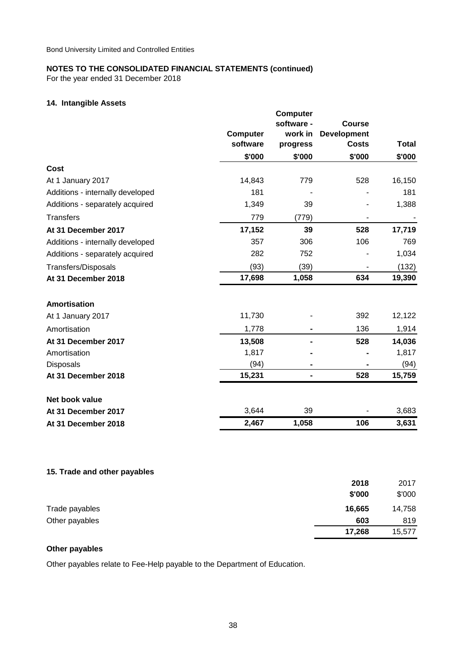For the year ended 31 December 2018

### **14. Intangible Assets**

|                                  | <b>Computer</b><br>software | <b>Computer</b><br>software -<br>work in<br>progress | <b>Course</b><br><b>Development</b><br><b>Costs</b> | <b>Total</b> |
|----------------------------------|-----------------------------|------------------------------------------------------|-----------------------------------------------------|--------------|
|                                  | \$'000                      | \$'000                                               | \$'000                                              | \$'000       |
| Cost                             |                             |                                                      |                                                     |              |
| At 1 January 2017                | 14,843                      | 779                                                  | 528                                                 | 16,150       |
| Additions - internally developed | 181                         |                                                      |                                                     | 181          |
| Additions - separately acquired  | 1,349                       | 39                                                   |                                                     | 1,388        |
| <b>Transfers</b>                 | 779                         | (779)                                                |                                                     |              |
| At 31 December 2017              | 17,152                      | 39                                                   | 528                                                 | 17,719       |
| Additions - internally developed | 357                         | 306                                                  | 106                                                 | 769          |
| Additions - separately acquired  | 282                         | 752                                                  |                                                     | 1,034        |
| Transfers/Disposals              | (93)                        | (39)                                                 | $\overline{\phantom{a}}$                            | (132)        |
| At 31 December 2018              | 17,698                      | 1,058                                                | 634                                                 | 19,390       |
| Amortisation                     |                             |                                                      |                                                     |              |
| At 1 January 2017                | 11,730                      |                                                      | 392                                                 | 12,122       |
| Amortisation                     | 1,778                       |                                                      | 136                                                 | 1,914        |
| At 31 December 2017              | 13,508                      |                                                      | 528                                                 | 14,036       |
| Amortisation                     | 1,817                       |                                                      |                                                     | 1,817        |
| <b>Disposals</b>                 | (94)                        |                                                      |                                                     | (94)         |
| At 31 December 2018              | 15,231                      | $\blacksquare$                                       | 528                                                 | 15,759       |
| Net book value                   |                             |                                                      |                                                     |              |
| At 31 December 2017              | 3,644                       | 39                                                   |                                                     | 3,683        |
| At 31 December 2018              | 2,467                       | 1,058                                                | 106                                                 | 3,631        |
|                                  |                             |                                                      |                                                     |              |

### **15. Trade and other payables**

|                | 2018   | 2017   |
|----------------|--------|--------|
|                | \$'000 | \$'000 |
| Trade payables | 16,665 | 14,758 |
| Other payables | 603    | 819    |
|                | 17,268 | 15,577 |

### **Other payables**

Other payables relate to Fee-Help payable to the Department of Education.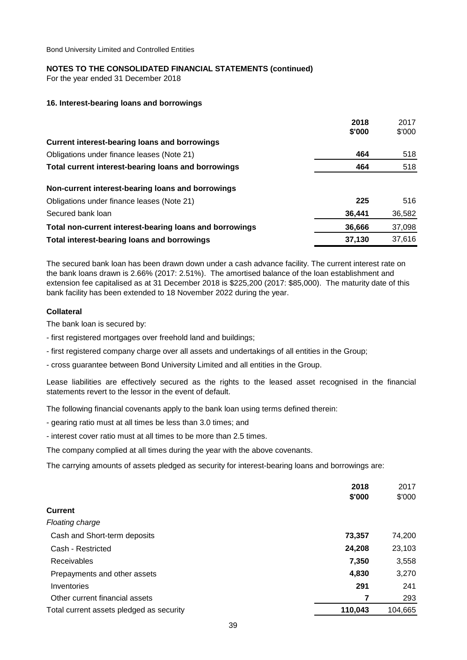### **NOTES TO THE CONSOLIDATED FINANCIAL STATEMENTS (continued)**

For the year ended 31 December 2018

### **16. Interest-bearing loans and borrowings**

|                                                         | 2018<br>\$'000 | 2017<br>\$'000 |
|---------------------------------------------------------|----------------|----------------|
| <b>Current interest-bearing loans and borrowings</b>    |                |                |
| Obligations under finance leases (Note 21)              | 464            | 518            |
| Total current interest-bearing loans and borrowings     | 464            | 518            |
| Non-current interest-bearing loans and borrowings       |                |                |
| Obligations under finance leases (Note 21)              | 225            | 516            |
| Secured bank loan                                       | 36,441         | 36,582         |
| Total non-current interest-bearing loans and borrowings | 36,666         | 37,098         |
| Total interest-bearing loans and borrowings             | 37,130         | 37,616         |

The secured bank loan has been drawn down under a cash advance facility. The current interest rate on the bank loans drawn is 2.66% (2017: 2.51%). The amortised balance of the loan establishment and extension fee capitalised as at 31 December 2018 is \$225,200 (2017: \$85,000). The maturity date of this bank facility has been extended to 18 November 2022 during the year.

### **Collateral**

The bank loan is secured by:

- first registered mortgages over freehold land and buildings;
- first registered company charge over all assets and undertakings of all entities in the Group;
- cross guarantee between Bond University Limited and all entities in the Group.

Lease liabilities are effectively secured as the rights to the leased asset recognised in the financial statements revert to the lessor in the event of default.

The following financial covenants apply to the bank loan using terms defined therein:

- gearing ratio must at all times be less than 3.0 times; and
- interest cover ratio must at all times to be more than 2.5 times.

The company complied at all times during the year with the above covenants.

The carrying amounts of assets pledged as security for interest-bearing loans and borrowings are:

|                                          | 2018<br>\$'000 | 2017<br>\$'000 |
|------------------------------------------|----------------|----------------|
| <b>Current</b>                           |                |                |
| Floating charge                          |                |                |
| Cash and Short-term deposits             | 73,357         | 74,200         |
| Cash - Restricted                        | 24,208         | 23,103         |
| Receivables                              | 7,350          | 3,558          |
| Prepayments and other assets             | 4,830          | 3,270          |
| Inventories                              | 291            | 241            |
| Other current financial assets           | 7              | 293            |
| Total current assets pledged as security | 110,043        | 104,665        |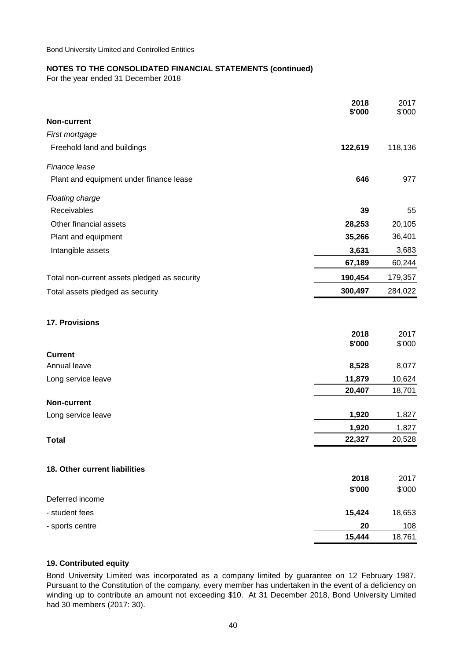### **NOTES TO THE CONSOLIDATED FINANCIAL STATEMENTS (continued)**

For the year ended 31 December 2018

|                                              | 2018<br>\$'000   | 2017<br>\$'000   |
|----------------------------------------------|------------------|------------------|
| <b>Non-current</b>                           |                  |                  |
| First mortgage                               |                  |                  |
| Freehold land and buildings                  | 122,619          | 118,136          |
| Finance lease                                |                  |                  |
| Plant and equipment under finance lease      | 646              | 977              |
| Floating charge                              |                  |                  |
| Receivables                                  | 39               | 55               |
| Other financial assets                       | 28,253           | 20,105           |
| Plant and equipment                          | 35,266           | 36,401           |
| Intangible assets                            | 3,631            | 3,683            |
|                                              | 67,189           | 60,244           |
| Total non-current assets pledged as security | 190,454          | 179,357          |
| Total assets pledged as security             | 300,497          | 284,022          |
| 17. Provisions                               |                  |                  |
|                                              | 2018             | 2017             |
|                                              | \$'000           | \$'000           |
| <b>Current</b><br>Annual leave               |                  | 8,077            |
|                                              | 8,528            |                  |
| Long service leave                           | 11,879<br>20,407 | 10,624<br>18,701 |
| <b>Non-current</b>                           |                  |                  |
| Long service leave                           | 1,920            | 1,827            |
|                                              | 1,920            | 1,827            |
| <b>Total</b>                                 | 22,327           | 20,528           |
| 18. Other current liabilities                |                  |                  |
|                                              | 2018             | 2017             |
|                                              | \$'000           | \$'000           |
| Deferred income                              |                  |                  |
| - student fees                               | 15,424           | 18,653           |
| - sports centre                              | 20               | 108              |
|                                              | 15,444           | 18,761           |

### **19. Contributed equity**

Bond University Limited was incorporated as a company limited by guarantee on 12 February 1987. Pursuant to the Constitution of the company, every member has undertaken in the event of a deficiency on winding up to contribute an amount not exceeding \$10. At 31 December 2018, Bond University Limited had 30 members (2017: 30).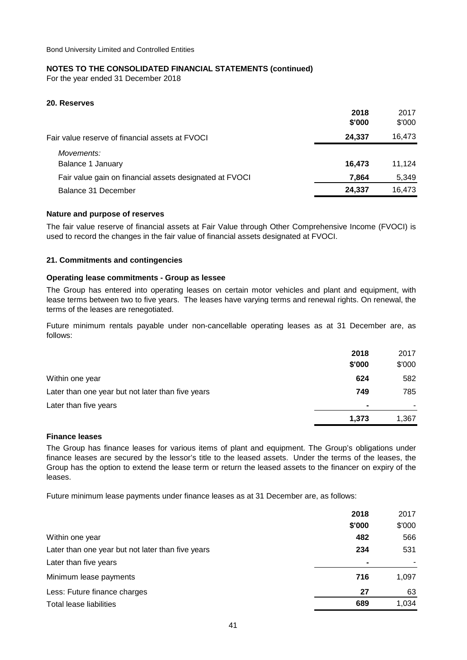### **NOTES TO THE CONSOLIDATED FINANCIAL STATEMENTS (continued)**

For the year ended 31 December 2018

### **20. Reserves**

|                                                         | 2018<br>\$'000 | 2017<br>\$'000 |
|---------------------------------------------------------|----------------|----------------|
| Fair value reserve of financial assets at FVOCI         | 24.337         | 16,473         |
| Movements:<br>Balance 1 January                         | 16,473         | 11.124         |
| Fair value gain on financial assets designated at FVOCI | 7.864          | 5,349          |
| Balance 31 December                                     | 24,337         | 16,473         |

### **Nature and purpose of reserves**

The fair value reserve of financial assets at Fair Value through Other Comprehensive Income (FVOCI) is used to record the changes in the fair value of financial assets designated at FVOCI.

### **21. Commitments and contingencies**

### **Operating lease commitments - Group as lessee**

The Group has entered into operating leases on certain motor vehicles and plant and equipment, with lease terms between two to five years. The leases have varying terms and renewal rights. On renewal, the terms of the leases are renegotiated.

Future minimum rentals payable under non-cancellable operating leases as at 31 December are, as follows:

|                                                   | 2018<br>\$'000 | 2017<br>\$'000 |
|---------------------------------------------------|----------------|----------------|
| Within one year                                   | 624            | 582            |
| Later than one year but not later than five years | 749            | 785            |
| Later than five years                             | $\blacksquare$ |                |
|                                                   | 1,373          | 1,367          |

### **Finance leases**

The Group has finance leases for various items of plant and equipment. The Group's obligations under finance leases are secured by the lessor's title to the leased assets. Under the terms of the leases, the Group has the option to extend the lease term or return the leased assets to the financer on expiry of the leases.

Future minimum lease payments under finance leases as at 31 December are, as follows:

|                                                   | 2018           | 2017   |
|---------------------------------------------------|----------------|--------|
|                                                   | \$'000         | \$'000 |
| Within one year                                   | 482            | 566    |
| Later than one year but not later than five years | 234            | 531    |
| Later than five years                             | $\blacksquare$ |        |
| Minimum lease payments                            | 716            | 1,097  |
| Less: Future finance charges                      | 27             | 63     |
| Total lease liabilities                           | 689            | 1,034  |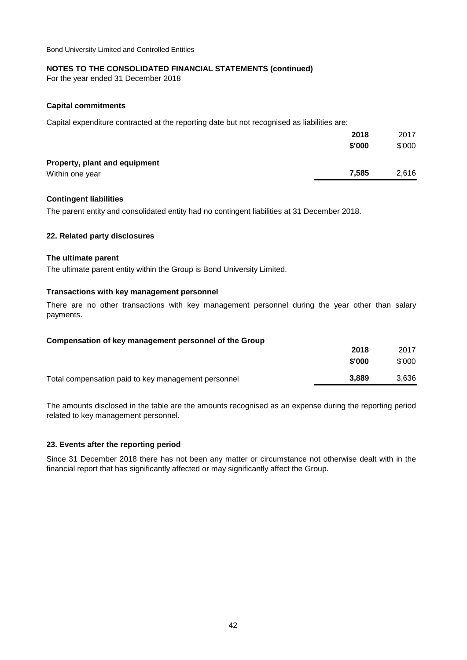### **NOTES TO THE CONSOLIDATED FINANCIAL STATEMENTS (continued)**

For the year ended 31 December 2018

### **Capital commitments**

Capital expenditure contracted at the reporting date but not recognised as liabilities are:

|                               | 2018   | 2017   |
|-------------------------------|--------|--------|
|                               | \$'000 | \$'000 |
| Property, plant and equipment |        |        |
| Within one year               | 7.585  | 2,616  |

### **Contingent liabilities**

The parent entity and consolidated entity had no contingent liabilities at 31 December 2018.

### **22. Related party disclosures**

### **The ultimate parent**

The ultimate parent entity within the Group is Bond University Limited.

### **Transactions with key management personnel**

There are no other transactions with key management personnel during the year other than salary payments.

| Compensation of key management personnel of the Group |        |        |
|-------------------------------------------------------|--------|--------|
|                                                       | 2018   | 2017   |
|                                                       | \$'000 | \$'000 |
| Total compensation paid to key management personnel   | 3.889  | 3.636  |

The amounts disclosed in the table are the amounts recognised as an expense during the reporting period related to key management personnel.

### **23. Events after the reporting period**

Since 31 December 2018 there has not been any matter or circumstance not otherwise dealt with in the financial report that has significantly affected or may significantly affect the Group.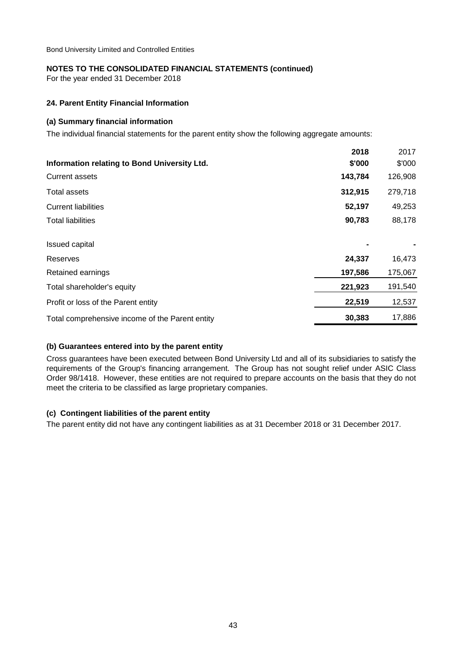### **NOTES TO THE CONSOLIDATED FINANCIAL STATEMENTS (continued)**

For the year ended 31 December 2018

### **24. Parent Entity Financial Information**

### **(a) Summary financial information**

The individual financial statements for the parent entity show the following aggregate amounts:

|                                                 | 2018    | 2017    |
|-------------------------------------------------|---------|---------|
| Information relating to Bond University Ltd.    | \$'000  | \$'000  |
| <b>Current assets</b>                           | 143,784 | 126,908 |
| Total assets                                    | 312,915 | 279,718 |
| <b>Current liabilities</b>                      | 52,197  | 49,253  |
| <b>Total liabilities</b>                        | 90,783  | 88,178  |
| <b>Issued capital</b>                           |         |         |
| Reserves                                        | 24,337  | 16,473  |
| Retained earnings                               | 197,586 | 175,067 |
| Total shareholder's equity                      | 221,923 | 191,540 |
| Profit or loss of the Parent entity             | 22,519  | 12,537  |
| Total comprehensive income of the Parent entity | 30,383  | 17,886  |

### **(b) Guarantees entered into by the parent entity**

Cross guarantees have been executed between Bond University Ltd and all of its subsidiaries to satisfy the requirements of the Group's financing arrangement. The Group has not sought relief under ASIC Class Order 98/1418. However, these entities are not required to prepare accounts on the basis that they do not meet the criteria to be classified as large proprietary companies.

### **(c) Contingent liabilities of the parent entity**

The parent entity did not have any contingent liabilities as at 31 December 2018 or 31 December 2017.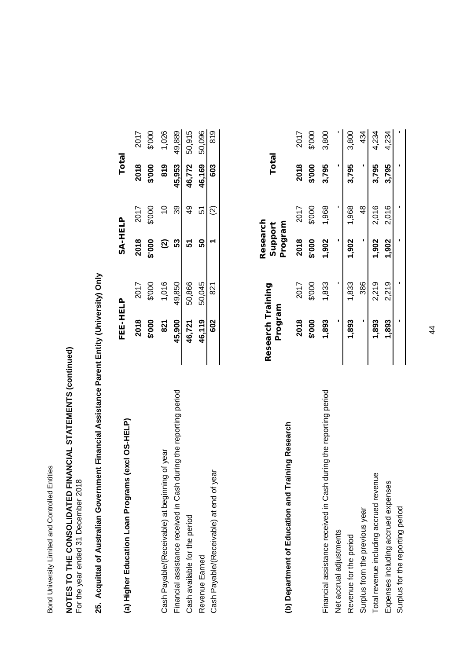Bond University Limited and Controlled Entities Bond University Limited and Controlled Entities

### **NOTES TO THE CONSOLIDATED FINANCIAL STATEMENTS (continued)**<br>For the year ended 31 December 2018 **NOTES TO THE CONSOLIDATED FINANCIAL STATEMENTS (continued)** For the year ended 31 December 2018

## 25. Acquittal of Australian Government Financial Assistance Parent Entity (University) Only **25. Acquittal of Australian Government Financial Assistance Parent Entity (University) Only**

| (a) Higher Education Loan Programs (excl OS-HELP)                    | FEE-HELP |        | SA-HELP                  |               | Total  |        |
|----------------------------------------------------------------------|----------|--------|--------------------------|---------------|--------|--------|
|                                                                      | 2018     | 2017   | 2018                     | 2017          | 2018   | 2017   |
|                                                                      | \$'000   | \$'000 | \$'000                   | 000.\$        | \$'000 | \$'000 |
| Cash Payable/(Receivable) at beginning of year                       | 821      | 1,016  | $\widehat{\mathfrak{D}}$ | $\frac{1}{2}$ | 819    | 1,026  |
| during the reporting period<br>Financial assistance received in Cash | 45,900   | 49,850 | 53                       | ၵ္တ           | 45,953 | 49,889 |
| Cash available for the period                                        | 46,721   | 50,866 |                          | දා<br>අ       | 46,772 | 50,915 |
| Revenue Earned                                                       | 46,119   | 50,045 | នី                       | 51            | 46,169 | 50,096 |
| Cash Payable/(Receivable) at end of year                             | 602      | 821    |                          |               | 603    | 819    |
|                                                                      |          |        |                          |               |        |        |

| (b) Department of Education and Training Research                 | Research Training<br>Program |        | Research<br>Program<br>Support |               | Total  |        |
|-------------------------------------------------------------------|------------------------------|--------|--------------------------------|---------------|--------|--------|
|                                                                   | 2018                         | 2017   | 2018                           | 2017          | 2018   | 2017   |
|                                                                   | \$'000                       | \$'000 | \$'000                         | \$'000        | \$'000 | \$'000 |
| Financial assistance received in Cash during the reporting period | 1,893                        | 1,833  | 1,902                          | 1,968         | 3,795  | 3,800  |
| Net accrual adjustments                                           |                              |        |                                |               |        |        |
| Revenue for the period                                            | 1,893                        | 1,833  | 1,902                          | 1,968         | 3,795  | 3,800  |
| Surplus from the previous year                                    |                              | 386    |                                | $\frac{8}{3}$ |        | 434    |
| $\overline{\mathbf{e}}$<br>Total revenue including accrued revenu | 1,893                        | 2,219  | 1,902                          | 2,016         | 3,795  | 4,234  |
| Expenses including accrued expenses                               | 1,893                        | 2,219  | $\frac{200}{3}$                | 2,016         | 3,795  | 4.234  |
| Surplus for the reporting period                                  |                              |        |                                |               |        |        |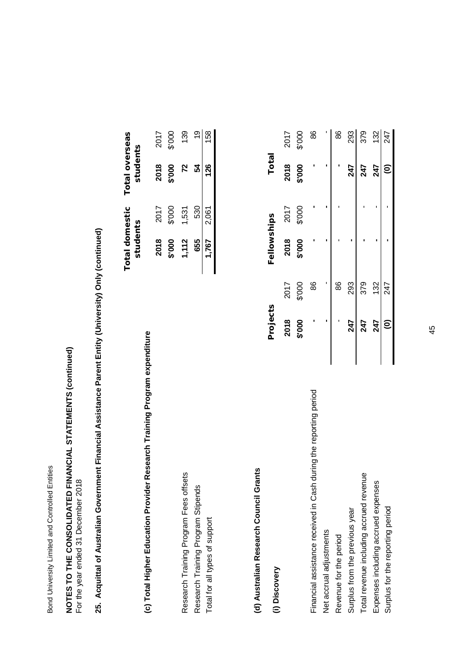Bond University Limited and Controlled Entities Bond University Limited and Controlled Entities

### **NOTES TO THE CONSOLIDATED FINANCIAL STATEMENTS (continued)**<br>For the year ended 31 December 2018 **NOTES TO THE CONSOLIDATED FINANCIAL STATEMENTS (continued)** For the year ended 31 December 2018

# 25. Acquittal of Australian Government Financial Assistance Parent Entity (University) Only (continued) **25. Acquittal of Australian Government Financial Assistance Parent Entity (University) Only (continued)**

| Research Training Program expenditure<br>(c) Total Higher Education Provider | students |        | Total domestic Total overseas<br>students |        |
|------------------------------------------------------------------------------|----------|--------|-------------------------------------------|--------|
|                                                                              | 2018     | 2017   | 2018                                      | 2017   |
|                                                                              | \$'000   | \$'000 | \$'000                                    | \$'000 |
| S<br>Research Training Program Fees offset                                   | 1,112    | 1,531  | 72                                        | 139    |
| Research Training Program Stipends                                           | 655      | 530    |                                           |        |
| Total for all types of support                                               | 1,767    | 2,061  | 126                                       | I58    |
|                                                                              |          |        |                                           |        |

### (d) Australian Research Council Grants **(d) Australian Research Council Grants**

| (i) Discovery                                                        | Projects |        | Fellowships |        | Total  |       |
|----------------------------------------------------------------------|----------|--------|-------------|--------|--------|-------|
|                                                                      | 2018     | 2017   | 2018        | 2017   | 2018   | 2017  |
|                                                                      | \$'000   | \$'000 | 000.\$      | \$'000 | 000.\$ | \$000 |
| during the reporting period<br>Financial assistance received in Cash |          | 86     |             |        |        | 86    |
| Net accrual adjustments                                              |          |        |             |        |        |       |
| Revenue for the period                                               |          | 86     |             |        |        | 86    |
| Surplus from the previous year                                       | 247      | 293    |             |        | 247    | 293   |
| Total revenue including accrued revenue                              | 247      | 379    |             |        | 247    | 379   |
| Expenses including accrued expenses                                  | 247      | 132    |             |        | 247    | 132   |
| Surplus for the reporting period                                     | Ξ        | 247    |             |        | ව      | 247   |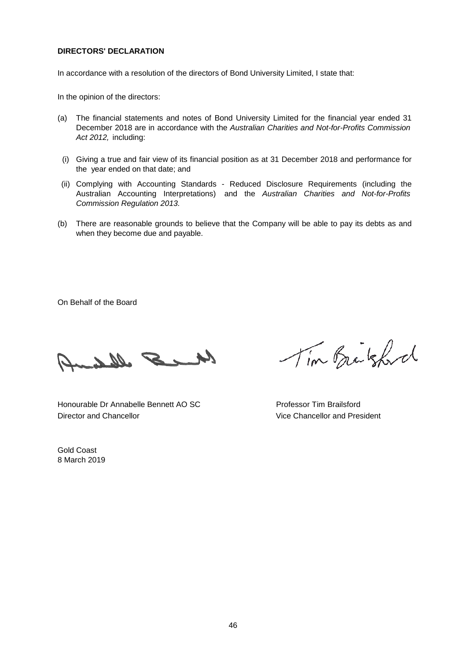### **DIRECTORS' DECLARATION**

In accordance with a resolution of the directors of Bond University Limited, I state that:

In the opinion of the directors:

- (a) The financial statements and notes of Bond University Limited for the financial year ended 31 December 2018 are in accordance with the *Australian Charities and Not-for-Profits Commission Act 2012,* including:
- (i) Giving a true and fair view of its financial position as at 31 December 2018 and performance for the year ended on that date; and
- (ii) Complying with Accounting Standards Reduced Disclosure Requirements (including the Australian Accounting Interpretations) and the *Australian Charities and Not-for-Profits Commission Regulation 2013.*
- (b) There are reasonable grounds to believe that the Company will be able to pay its debts as and when they become due and payable.

On Behalf of the Board

Me S Many

Director and Chancellor Vice Chancellor and President Honourable Dr Annabelle Bennett AO SC Professor Tim Brailsford

Gold Coast 8 March 2019

Tim Brakford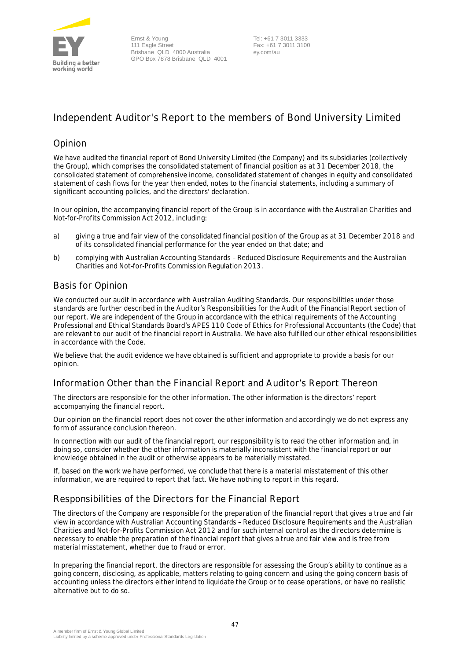

### **Independent Auditor's Report to the members of Bond University Limited**

### Opinion

We have audited the financial report of Bond University Limited (the Company) and its subsidiaries (collectively the Group), which comprises the consolidated statement of financial position as at 31 December 2018, the consolidated statement of comprehensive income, consolidated statement of changes in equity and consolidated statement of cash flows for the year then ended, notes to the financial statements, including a summary of significant accounting policies, and the directors' declaration.

In our opinion, the accompanying financial report of the Group is in accordance with the *Australian Charities and Not-for-Profits Commission Act 2012*, including:

- a) giving a true and fair view of the consolidated financial position of the Group as at 31 December 2018 and of its consolidated financial performance for the year ended on that date; and
- b) complying with Australian Accounting Standards Reduced Disclosure Requirements and the *Australian Charities and Not-for-Profits Commission Regulation 2013*.

### Basis for Opinion

We conducted our audit in accordance with Australian Auditing Standards. Our responsibilities under those standards are further described in the *Auditor's Responsibilities for the Audit of the Financial Report* section of our report. We are independent of the Group in accordance with the ethical requirements of the Accounting Professional and Ethical Standards Board's APES 110 *Code of Ethics for Professional Accountants* (the Code) that are relevant to our audit of the financial report in Australia. We have also fulfilled our other ethical responsibilities in accordance with the Code.

We believe that the audit evidence we have obtained is sufficient and appropriate to provide a basis for our opinion.

### Information Other than the Financial Report and Auditor's Report Thereon

The directors are responsible for the other information. The other information is the directors' report accompanying the financial report.

Our opinion on the financial report does not cover the other information and accordingly we do not express any form of assurance conclusion thereon.

In connection with our audit of the financial report, our responsibility is to read the other information and, in doing so, consider whether the other information is materially inconsistent with the financial report or our knowledge obtained in the audit or otherwise appears to be materially misstated.

If, based on the work we have performed, we conclude that there is a material misstatement of this other information, we are required to report that fact. We have nothing to report in this regard.

### Responsibilities of the Directors for the Financial Report

The directors of the Company are responsible for the preparation of the financial report that gives a true and fair view in accordance with Australian Accounting Standards – Reduced Disclosure Requirements and the *Australian Charities and Not-for-Profits Commission Act 2012* and for such internal control as the directors determine is necessary to enable the preparation of the financial report that gives a true and fair view and is free from material misstatement, whether due to fraud or error.

In preparing the financial report, the directors are responsible for assessing the Group's ability to continue as a going concern, disclosing, as applicable, matters relating to going concern and using the going concern basis of accounting unless the directors either intend to liquidate the Group or to cease operations, or have no realistic alternative but to do so.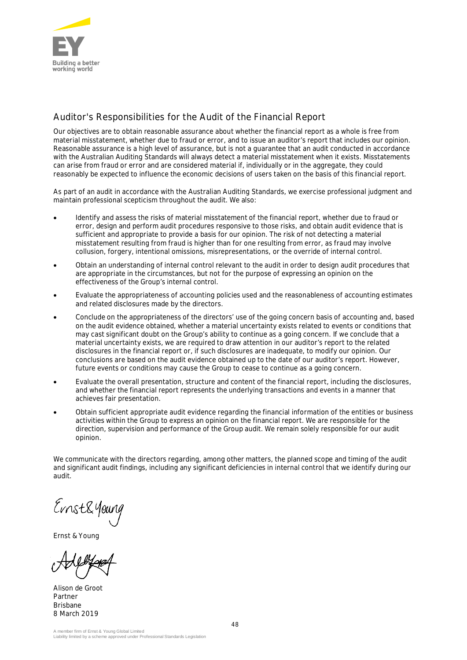

### Auditor's Responsibilities for the Audit of the Financial Report

Our objectives are to obtain reasonable assurance about whether the financial report as a whole is free from material misstatement, whether due to fraud or error, and to issue an auditor's report that includes our opinion. Reasonable assurance is a high level of assurance, but is not a guarantee that an audit conducted in accordance with the Australian Auditing Standards will always detect a material misstatement when it exists. Misstatements can arise from fraud or error and are considered material if, individually or in the aggregate, they could reasonably be expected to influence the economic decisions of users taken on the basis of this financial report.

As part of an audit in accordance with the Australian Auditing Standards, we exercise professional judgment and maintain professional scepticism throughout the audit. We also:

- Identify and assess the risks of material misstatement of the financial report, whether due to fraud or error, design and perform audit procedures responsive to those risks, and obtain audit evidence that is sufficient and appropriate to provide a basis for our opinion. The risk of not detecting a material misstatement resulting from fraud is higher than for one resulting from error, as fraud may involve collusion, forgery, intentional omissions, misrepresentations, or the override of internal control.
- · Obtain an understanding of internal control relevant to the audit in order to design audit procedures that are appropriate in the circumstances, but not for the purpose of expressing an opinion on the effectiveness of the Group's internal control.
- Evaluate the appropriateness of accounting policies used and the reasonableness of accounting estimates and related disclosures made by the directors.
- Conclude on the appropriateness of the directors' use of the going concern basis of accounting and, based on the audit evidence obtained, whether a material uncertainty exists related to events or conditions that may cast significant doubt on the Group's ability to continue as a going concern. If we conclude that a material uncertainty exists, we are required to draw attention in our auditor's report to the related disclosures in the financial report or, if such disclosures are inadequate, to modify our opinion. Our conclusions are based on the audit evidence obtained up to the date of our auditor's report. However, future events or conditions may cause the Group to cease to continue as a going concern.
- · Evaluate the overall presentation, structure and content of the financial report, including the disclosures, and whether the financial report represents the underlying transactions and events in a manner that achieves fair presentation.
- · Obtain sufficient appropriate audit evidence regarding the financial information of the entities or business activities within the Group to express an opinion on the financial report. We are responsible for the direction, supervision and performance of the Group audit. We remain solely responsible for our audit opinion.

We communicate with the directors regarding, among other matters, the planned scope and timing of the audit and significant audit findings, including any significant deficiencies in internal control that we identify during our audit.

Ernst&Your

Ernst & Young

Alison de Groot Partner Brisbane 8 March 2019